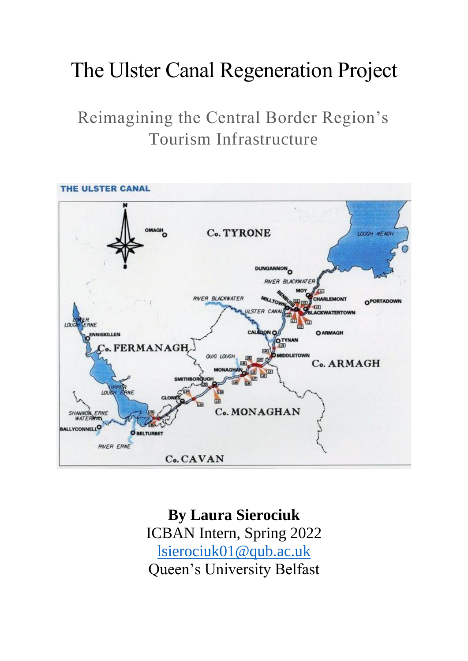# The Ulster Canal Regeneration Project

# Reimagining the Central Border Region's Tourism Infrastructure



**By Laura Sierociuk** ICBAN Intern, Spring 2022 [lsierociuk01@qub.ac.uk](mailto:lsierociuk01@qub.ac.uk) Queen's University Belfast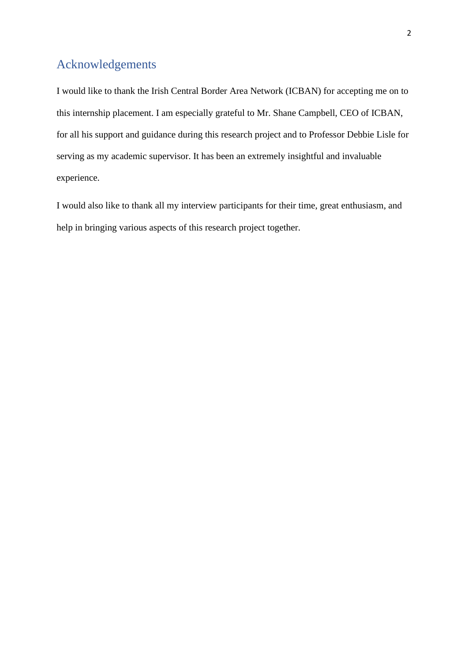# <span id="page-1-0"></span>Acknowledgements

I would like to thank the Irish Central Border Area Network (ICBAN) for accepting me on to this internship placement. I am especially grateful to Mr. Shane Campbell, CEO of ICBAN, for all his support and guidance during this research project and to Professor Debbie Lisle for serving as my academic supervisor. It has been an extremely insightful and invaluable experience.

I would also like to thank all my interview participants for their time, great enthusiasm, and help in bringing various aspects of this research project together.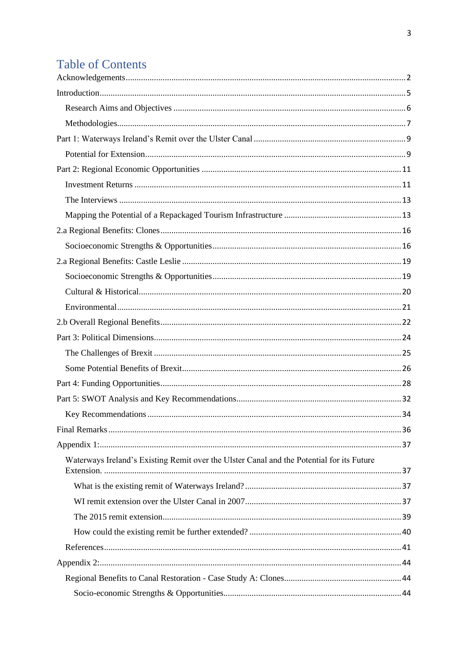# **Table of Contents**

| Waterways Ireland's Existing Remit over the Ulster Canal and the Potential for its Future |  |
|-------------------------------------------------------------------------------------------|--|
|                                                                                           |  |
|                                                                                           |  |
|                                                                                           |  |
|                                                                                           |  |
|                                                                                           |  |
|                                                                                           |  |
|                                                                                           |  |
|                                                                                           |  |
|                                                                                           |  |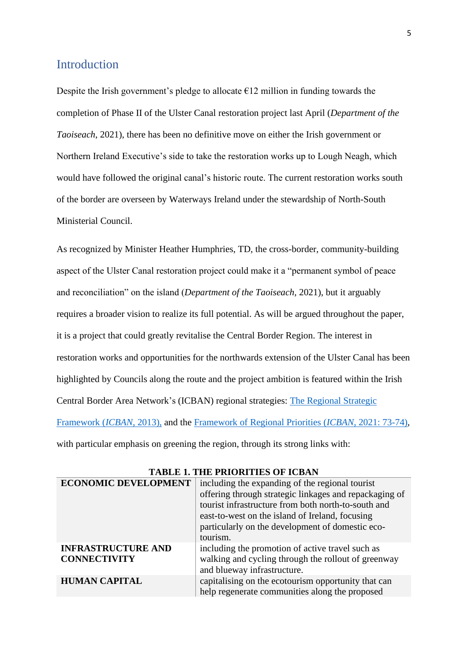### <span id="page-4-0"></span>Introduction

Despite the Irish government's pledge to allocate  $\epsilon$ 12 million in funding towards the completion of Phase II of the Ulster Canal restoration project last April (*Department of the Taoiseach*, 2021), there has been no definitive move on either the Irish government or Northern Ireland Executive's side to take the restoration works up to Lough Neagh, which would have followed the original canal's historic route. The current restoration works south of the border are overseen by Waterways Ireland under the stewardship of North-South Ministerial Council.

As recognized by Minister Heather Humphries, TD, the cross-border, community-building aspect of the Ulster Canal restoration project could make it a "permanent symbol of peace and reconciliation" on the island (*Department of the Taoiseach*, 2021), but it arguably requires a broader vision to realize its full potential. As will be argued throughout the paper, it is a project that could greatly revitalise the Central Border Region. The interest in restoration works and opportunities for the northwards extension of the Ulster Canal has been highlighted by Councils along the route and the project ambition is featured within the Irish Central Border Area Network's (ICBAN) regional strategies: [The Regional Strategic](https://icban.com/site/wp-content/uploads/2018/03/Regional-Strategic-Framework-Nov-13.pdf)  [Framework \(](https://icban.com/site/wp-content/uploads/2018/03/Regional-Strategic-Framework-Nov-13.pdf)*ICBAN*, 2013), and the [Framework of Regional Priorities \(](https://icban.com/frp/)*ICBAN*, 2021: 73-74), with particular emphasis on greening the region, through its strong links with:

| <b>ECONOMIC DEVELOPMENT</b> | including the expanding of the regional tourist        |  |
|-----------------------------|--------------------------------------------------------|--|
|                             | offering through strategic linkages and repackaging of |  |
|                             | tourist infrastructure from both north-to-south and    |  |
|                             | east-to-west on the island of Ireland, focusing        |  |
|                             | particularly on the development of domestic eco-       |  |
|                             | tourism.                                               |  |
| <b>INFRASTRUCTURE AND</b>   | including the promotion of active travel such as       |  |
| <b>CONNECTIVITY</b>         | walking and cycling through the rollout of greenway    |  |
|                             | and blueway infrastructure.                            |  |
| <b>HUMAN CAPITAL</b>        | capitalising on the ecotourism opportunity that can    |  |
|                             | help regenerate communities along the proposed         |  |

| <b>TABLE 1. THE PRIORITIES OF ICBAN</b> |  |  |  |  |  |
|-----------------------------------------|--|--|--|--|--|
|-----------------------------------------|--|--|--|--|--|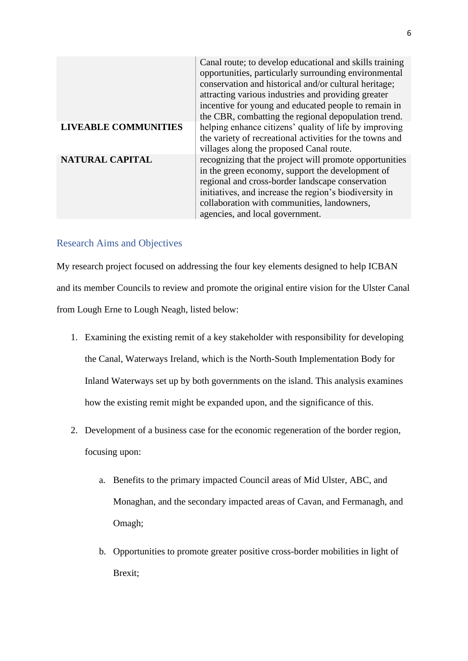Canal route; to develop educational and skills training opportunities, particularly surrounding environmental conservation and historical and/or cultural heritage; attracting various industries and providing greater incentive for young and educated people to remain in the CBR, combatting the regional depopulation trend. **LIVEABLE COMMUNITIES** | helping enhance citizens' quality of life by improving the variety of recreational activities for the towns and villages along the proposed Canal route. **NATURAL CAPITAL** recognizing that the project will promote opportunities in the green economy, support the development of regional and cross-border landscape conservation initiatives, and increase the region's biodiversity in collaboration with communities, landowners, agencies, and local government.

### <span id="page-5-0"></span>Research Aims and Objectives

My research project focused on addressing the four key elements designed to help ICBAN and its member Councils to review and promote the original entire vision for the Ulster Canal from Lough Erne to Lough Neagh, listed below:

- 1. Examining the existing remit of a key stakeholder with responsibility for developing the Canal, Waterways Ireland, which is the North-South Implementation Body for Inland Waterways set up by both governments on the island. This analysis examines how the existing remit might be expanded upon, and the significance of this.
- 2. Development of a business case for the economic regeneration of the border region, focusing upon:
	- a. Benefits to the primary impacted Council areas of Mid Ulster, ABC, and Monaghan, and the secondary impacted areas of Cavan, and Fermanagh, and Omagh;
	- b. Opportunities to promote greater positive cross-border mobilities in light of Brexit;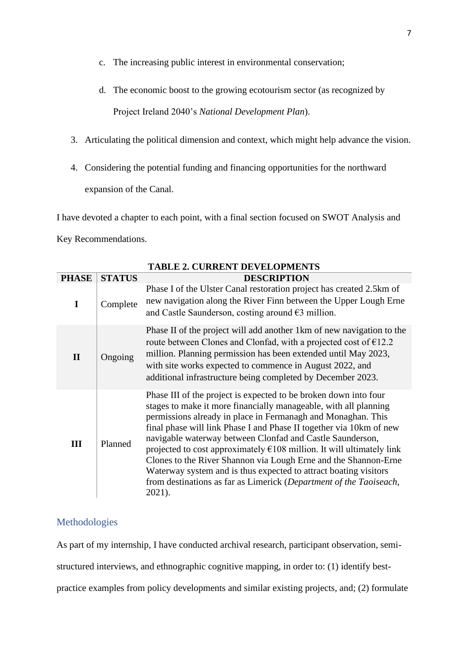- c. The increasing public interest in environmental conservation;
- d. The economic boost to the growing ecotourism sector (as recognized by

Project Ireland 2040's *National Development Plan*).

- 3. Articulating the political dimension and context, which might help advance the vision.
- 4. Considering the potential funding and financing opportunities for the northward expansion of the Canal.

I have devoted a chapter to each point, with a final section focused on SWOT Analysis and

Key Recommendations.

|              |               | <b>TABLE 2. CURRENT DEVELOPMENTS</b>                                                                                                                                                                                                                                                                                                                                                                                                                                                                                                                                                                                                               |
|--------------|---------------|----------------------------------------------------------------------------------------------------------------------------------------------------------------------------------------------------------------------------------------------------------------------------------------------------------------------------------------------------------------------------------------------------------------------------------------------------------------------------------------------------------------------------------------------------------------------------------------------------------------------------------------------------|
| <b>PHASE</b> | <b>STATUS</b> | <b>DESCRIPTION</b>                                                                                                                                                                                                                                                                                                                                                                                                                                                                                                                                                                                                                                 |
| I            | Complete      | Phase I of the Ulster Canal restoration project has created 2.5km of<br>new navigation along the River Finn between the Upper Lough Erne<br>and Castle Saunderson, costing around $\epsilon$ 3 million.                                                                                                                                                                                                                                                                                                                                                                                                                                            |
| $\mathbf{I}$ | Ongoing       | Phase II of the project will add another 1km of new navigation to the<br>route between Clones and Clonfad, with a projected cost of $E12.2$<br>million. Planning permission has been extended until May 2023,<br>with site works expected to commence in August 2022, and<br>additional infrastructure being completed by December 2023.                                                                                                                                                                                                                                                                                                           |
| Ш            | Planned       | Phase III of the project is expected to be broken down into four<br>stages to make it more financially manageable, with all planning<br>permissions already in place in Fermanagh and Monaghan. This<br>final phase will link Phase I and Phase II together via 10km of new<br>navigable waterway between Clonfad and Castle Saunderson,<br>projected to cost approximately $\epsilon$ 108 million. It will ultimately link<br>Clones to the River Shannon via Lough Erne and the Shannon-Erne<br>Waterway system and is thus expected to attract boating visitors<br>from destinations as far as Limerick (Department of the Taoiseach,<br>2021). |

### <span id="page-6-0"></span>Methodologies

As part of my internship, I have conducted archival research, participant observation, semistructured interviews, and ethnographic cognitive mapping, in order to: (1) identify bestpractice examples from policy developments and similar existing projects, and; (2) formulate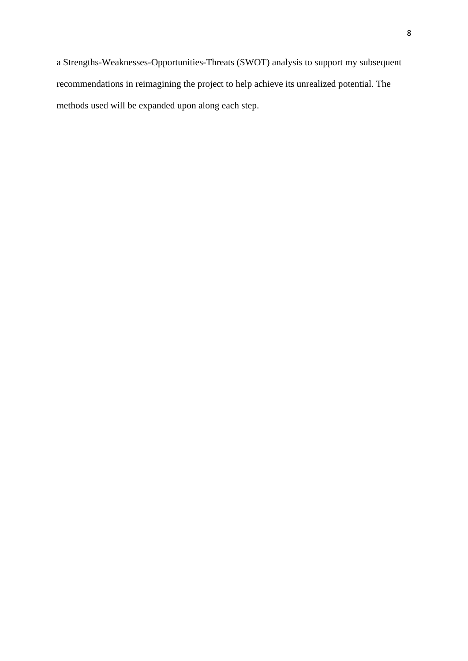a Strengths-Weaknesses-Opportunities-Threats (SWOT) analysis to support my subsequent recommendations in reimagining the project to help achieve its unrealized potential. The methods used will be expanded upon along each step.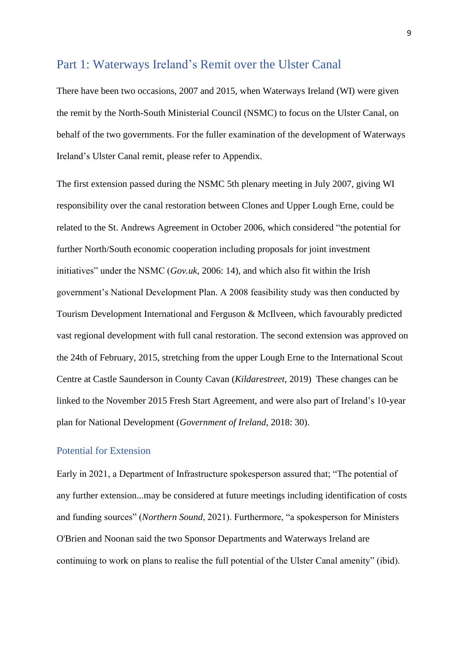#### <span id="page-8-0"></span>Part 1: Waterways Ireland's Remit over the Ulster Canal

There have been two occasions, 2007 and 2015, when Waterways Ireland (WI) were given the remit by the North-South Ministerial Council (NSMC) to focus on the Ulster Canal, on behalf of the two governments. For the fuller examination of the development of Waterways Ireland's Ulster Canal remit, please refer to Appendix.

The first extension passed during the NSMC 5th plenary meeting in July 2007, giving WI responsibility over the canal restoration between Clones and Upper Lough Erne, could be related to the St. Andrews Agreement in October 2006, which considered "the potential for further North/South economic cooperation including proposals for joint investment initiatives" under the NSMC (*Gov.uk*, 2006: 14), and which also fit within the Irish government's National Development Plan. A 2008 feasibility study was then conducted by Tourism Development International and Ferguson & McIlveen, which favourably predicted vast regional development with full canal restoration. The second extension was approved on the 24th of February, 2015, stretching from the upper Lough Erne to the International Scout Centre at Castle Saunderson in County Cavan (*Kildarestreet*, 2019) These changes can be linked to the November 2015 Fresh Start Agreement, and were also part of Ireland's 10-year plan for National Development (*Government of Ireland*, 2018: 30).

#### <span id="page-8-1"></span>Potential for Extension

Early in 2021, a Department of Infrastructure spokesperson assured that; "The potential of any further extension...may be considered at future meetings including identification of costs and funding sources" (*Northern Sound*, 2021). Furthermore, "a spokesperson for Ministers O'Brien and Noonan said the two Sponsor Departments and Waterways Ireland are continuing to work on plans to realise the full potential of the Ulster Canal amenity" (ibid).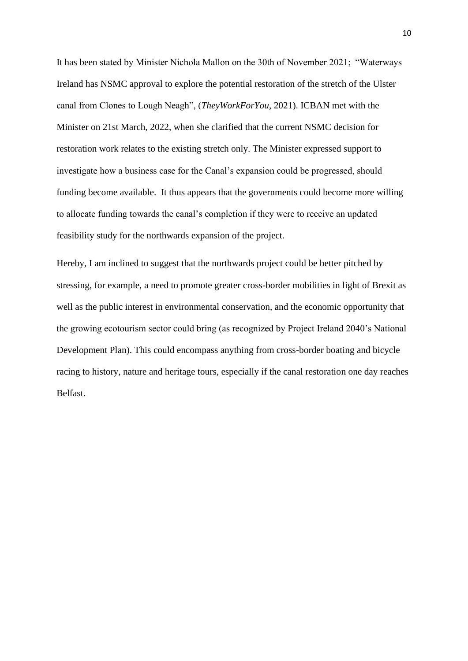It has been stated by Minister Nichola Mallon on the 30th of November 2021; "Waterways Ireland has NSMC approval to explore the potential restoration of the stretch of the Ulster canal from Clones to Lough Neagh", (*TheyWorkForYou*, 2021). ICBAN met with the Minister on 21st March, 2022, when she clarified that the current NSMC decision for restoration work relates to the existing stretch only. The Minister expressed support to investigate how a business case for the Canal's expansion could be progressed, should funding become available. It thus appears that the governments could become more willing to allocate funding towards the canal's completion if they were to receive an updated feasibility study for the northwards expansion of the project.

Hereby, I am inclined to suggest that the northwards project could be better pitched by stressing, for example, a need to promote greater cross-border mobilities in light of Brexit as well as the public interest in environmental conservation, and the economic opportunity that the growing ecotourism sector could bring (as recognized by Project Ireland 2040's National Development Plan). This could encompass anything from cross-border boating and bicycle racing to history, nature and heritage tours, especially if the canal restoration one day reaches Belfast.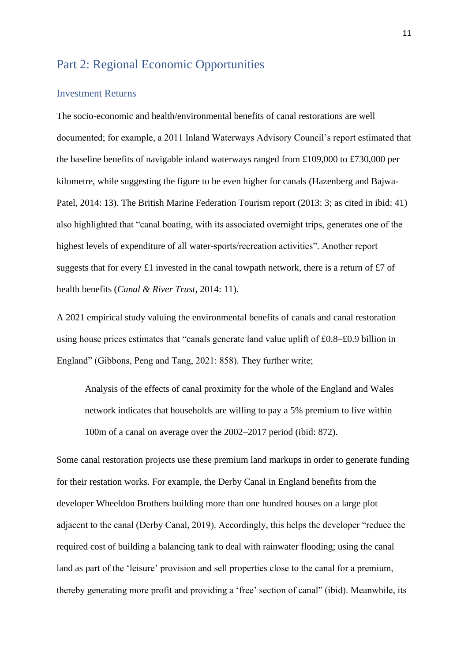# <span id="page-10-0"></span>Part 2: Regional Economic Opportunities

#### <span id="page-10-1"></span>Investment Returns

The socio-economic and health/environmental benefits of canal restorations are well documented; for example, a 2011 Inland Waterways Advisory Council's report estimated that the baseline benefits of navigable inland waterways ranged from £109,000 to £730,000 per kilometre, while suggesting the figure to be even higher for canals (Hazenberg and Bajwa-Patel, 2014: 13). The British Marine Federation Tourism report (2013: 3; as cited in ibid: 41) also highlighted that "canal boating, with its associated overnight trips, generates one of the highest levels of expenditure of all water-sports/recreation activities". Another report suggests that for every £1 invested in the canal towpath network, there is a return of £7 of health benefits (*Canal & River Trust*, 2014: 11).

A 2021 empirical study valuing the environmental benefits of canals and canal restoration using house prices estimates that "canals generate land value uplift of £0.8–£0.9 billion in England" (Gibbons, Peng and Tang, 2021: 858). They further write;

Analysis of the effects of canal proximity for the whole of the England and Wales network indicates that households are willing to pay a 5% premium to live within 100m of a canal on average over the 2002–2017 period (ibid: 872).

Some canal restoration projects use these premium land markups in order to generate funding for their restation works. For example, the Derby Canal in England benefits from the developer Wheeldon Brothers building more than one hundred houses on a large plot adjacent to the canal (Derby Canal, 2019). Accordingly, this helps the developer "reduce the required cost of building a balancing tank to deal with rainwater flooding; using the canal land as part of the 'leisure' provision and sell properties close to the canal for a premium, thereby generating more profit and providing a 'free' section of canal" (ibid). Meanwhile, its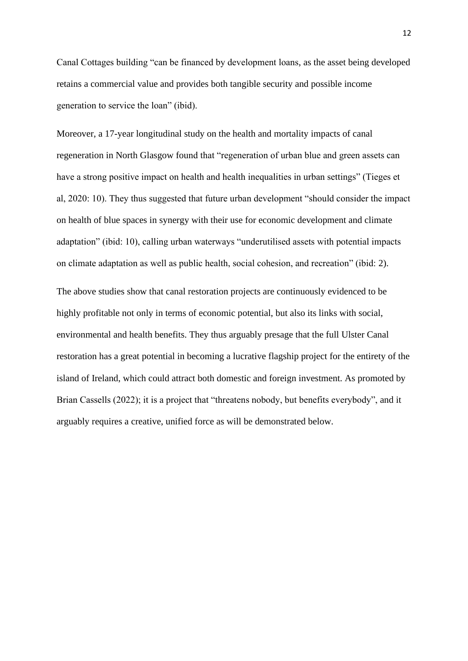Canal Cottages building "can be financed by development loans, as the asset being developed retains a commercial value and provides both tangible security and possible income generation to service the loan" (ibid).

Moreover, a 17-year longitudinal study on the health and mortality impacts of canal regeneration in North Glasgow found that "regeneration of urban blue and green assets can have a strong positive impact on health and health inequalities in urban settings" (Tieges et al, 2020: 10). They thus suggested that future urban development "should consider the impact on health of blue spaces in synergy with their use for economic development and climate adaptation" (ibid: 10), calling urban waterways "underutilised assets with potential impacts on climate adaptation as well as public health, social cohesion, and recreation" (ibid: 2).

The above studies show that canal restoration projects are continuously evidenced to be highly profitable not only in terms of economic potential, but also its links with social, environmental and health benefits. They thus arguably presage that the full Ulster Canal restoration has a great potential in becoming a lucrative flagship project for the entirety of the island of Ireland, which could attract both domestic and foreign investment. As promoted by Brian Cassells (2022); it is a project that "threatens nobody, but benefits everybody", and it arguably requires a creative, unified force as will be demonstrated below.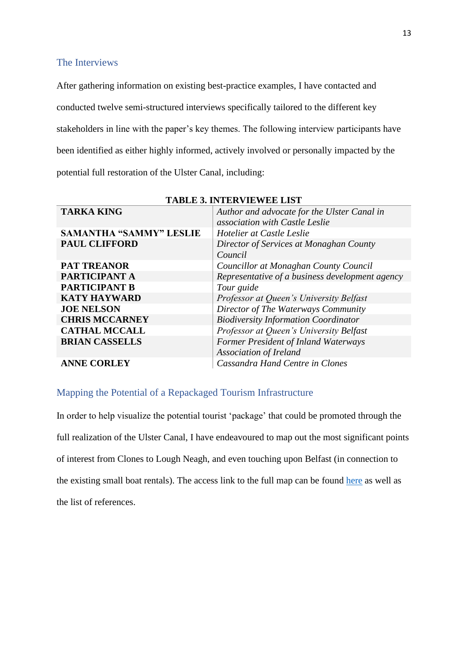#### <span id="page-12-0"></span>The Interviews

After gathering information on existing best-practice examples, I have contacted and conducted twelve semi-structured interviews specifically tailored to the different key stakeholders in line with the paper's key themes. The following interview participants have been identified as either highly informed, actively involved or personally impacted by the potential full restoration of the Ulster Canal, including:

| <b>TARKA KING</b>              | Author and advocate for the Ulster Canal in<br>association with Castle Leslie |
|--------------------------------|-------------------------------------------------------------------------------|
| <b>SAMANTHA "SAMMY" LESLIE</b> | Hotelier at Castle Leslie                                                     |
| <b>PAUL CLIFFORD</b>           | Director of Services at Monaghan County                                       |
|                                | Council                                                                       |
| <b>PAT TREANOR</b>             | Councillor at Monaghan County Council                                         |
| PARTICIPANT A                  | Representative of a business development agency                               |
| <b>PARTICIPANT B</b>           | Tour guide                                                                    |
| <b>KATY HAYWARD</b>            | Professor at Queen's University Belfast                                       |
| <b>JOE NELSON</b>              | Director of The Waterways Community                                           |
| <b>CHRIS MCCARNEY</b>          | <b>Biodiversity Information Coordinator</b>                                   |
| <b>CATHAL MCCALL</b>           | Professor at Queen's University Belfast                                       |
| <b>BRIAN CASSELLS</b>          | Former President of Inland Waterways                                          |
|                                | <b>Association of Ireland</b>                                                 |
| <b>ANNE CORLEY</b>             | Cassandra Hand Centre in Clones                                               |

**TABLE 3. INTERVIEWEE LIST**

#### <span id="page-12-1"></span>Mapping the Potential of a Repackaged Tourism Infrastructure

In order to help visualize the potential tourist 'package' that could be promoted through the full realization of the Ulster Canal, I have endeavoured to map out the most significant points of interest from Clones to Lough Neagh, and even touching upon Belfast (in connection to the existing small boat rentals). The access link to the full map can be found [here](https://www.google.com/maps/d/u/0/edit?mid=1jNJVCX7ADTaI3NSMtIrfuWFnWyOyJY1w&usp=sharing) as well as the list of references.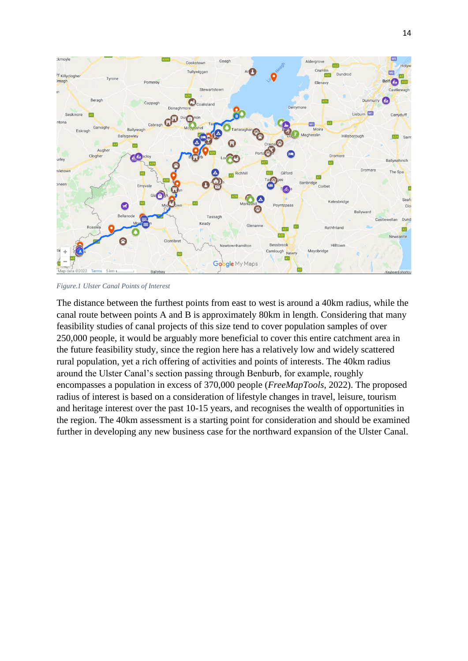

*Figure.1 Ulster Canal Points of Interest*

The distance between the furthest points from east to west is around a 40km radius, while the canal route between points A and B is approximately 80km in length. Considering that many feasibility studies of canal projects of this size tend to cover population samples of over 250,000 people, it would be arguably more beneficial to cover this entire catchment area in the future feasibility study, since the region here has a relatively low and widely scattered rural population, yet a rich offering of activities and points of interests. The 40km radius around the Ulster Canal's section passing through Benburb, for example, roughly encompasses a population in excess of 370,000 people (*FreeMapTools*, 2022). The proposed radius of interest is based on a consideration of lifestyle changes in travel, leisure, tourism and heritage interest over the past 10-15 years, and recognises the wealth of opportunities in the region. The 40km assessment is a starting point for consideration and should be examined further in developing any new business case for the northward expansion of the Ulster Canal.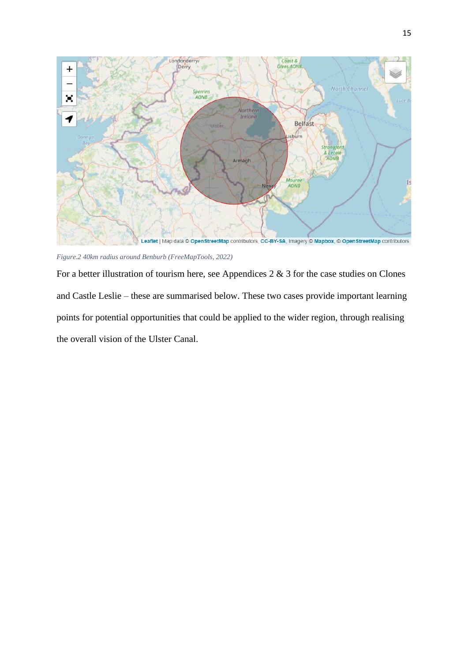

*Figure.2 40km radius around Benburb (FreeMapTools, 2022)*

For a better illustration of tourism here, see Appendices  $2 \& 3$  for the case studies on Clones and Castle Leslie – these are summarised below. These two cases provide important learning points for potential opportunities that could be applied to the wider region, through realising the overall vision of the Ulster Canal.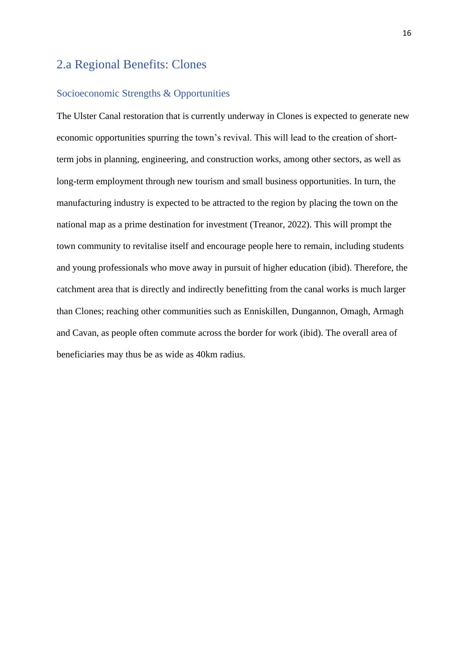# <span id="page-15-0"></span>2.a Regional Benefits: Clones

#### <span id="page-15-1"></span>Socioeconomic Strengths & Opportunities

The Ulster Canal restoration that is currently underway in Clones is expected to generate new economic opportunities spurring the town's revival. This will lead to the creation of shortterm jobs in planning, engineering, and construction works, among other sectors, as well as long-term employment through new tourism and small business opportunities. In turn, the manufacturing industry is expected to be attracted to the region by placing the town on the national map as a prime destination for investment (Treanor, 2022). This will prompt the town community to revitalise itself and encourage people here to remain, including students and young professionals who move away in pursuit of higher education (ibid). Therefore, the catchment area that is directly and indirectly benefitting from the canal works is much larger than Clones; reaching other communities such as Enniskillen, Dungannon, Omagh, Armagh and Cavan, as people often commute across the border for work (ibid). The overall area of beneficiaries may thus be as wide as 40km radius.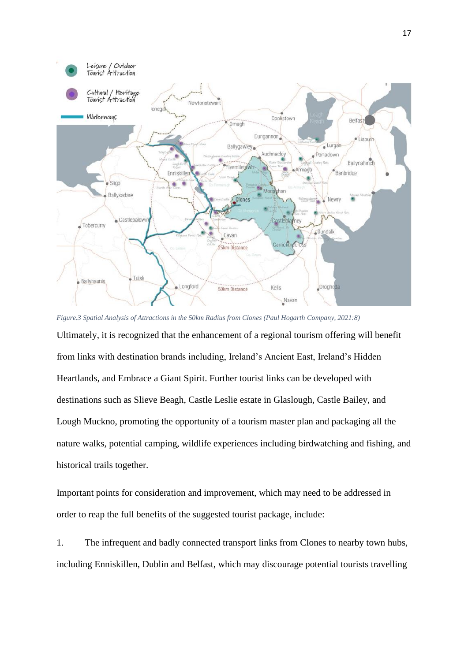

*Figure.3 Spatial Analysis of Attractions in the 50km Radius from Clones (Paul Hogarth Company, 2021:8)* Ultimately, it is recognized that the enhancement of a regional tourism offering will benefit from links with destination brands including, Ireland's Ancient East, Ireland's Hidden Heartlands, and Embrace a Giant Spirit. Further tourist links can be developed with destinations such as Slieve Beagh, Castle Leslie estate in Glaslough, Castle Bailey, and Lough Muckno, promoting the opportunity of a tourism master plan and packaging all the nature walks, potential camping, wildlife experiences including birdwatching and fishing, and historical trails together.

Important points for consideration and improvement, which may need to be addressed in order to reap the full benefits of the suggested tourist package, include:

1. The infrequent and badly connected transport links from Clones to nearby town hubs, including Enniskillen, Dublin and Belfast, which may discourage potential tourists travelling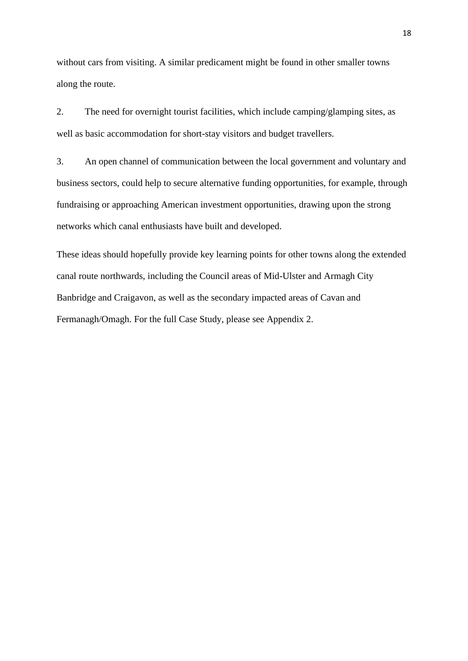without cars from visiting. A similar predicament might be found in other smaller towns along the route.

2. The need for overnight tourist facilities, which include camping/glamping sites, as well as basic accommodation for short-stay visitors and budget travellers.

3. An open channel of communication between the local government and voluntary and business sectors, could help to secure alternative funding opportunities, for example, through fundraising or approaching American investment opportunities, drawing upon the strong networks which canal enthusiasts have built and developed.

These ideas should hopefully provide key learning points for other towns along the extended canal route northwards, including the Council areas of Mid-Ulster and Armagh City Banbridge and Craigavon, as well as the secondary impacted areas of Cavan and Fermanagh/Omagh. For the full Case Study, please see Appendix 2.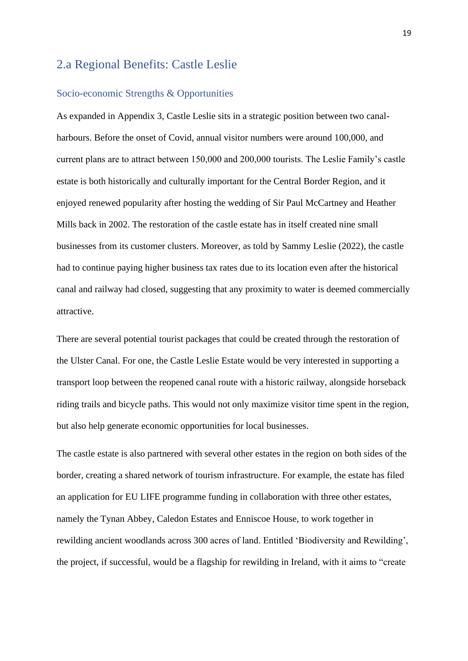# <span id="page-18-0"></span>2.a Regional Benefits: Castle Leslie

#### <span id="page-18-1"></span>Socio-economic Strengths & Opportunities

As expanded in Appendix 3, Castle Leslie sits in a strategic position between two canalharbours. Before the onset of Covid, annual visitor numbers were around 100,000, and current plans are to attract between 150,000 and 200,000 tourists. The Leslie Family's castle estate is both historically and culturally important for the Central Border Region, and it enjoyed renewed popularity after hosting the wedding of Sir Paul McCartney and Heather Mills back in 2002. The restoration of the castle estate has in itself created nine small businesses from its customer clusters. Moreover, as told by Sammy Leslie (2022), the castle had to continue paying higher business tax rates due to its location even after the historical canal and railway had closed, suggesting that any proximity to water is deemed commercially attractive.

There are several potential tourist packages that could be created through the restoration of the Ulster Canal. For one, the Castle Leslie Estate would be very interested in supporting a transport loop between the reopened canal route with a historic railway, alongside horseback riding trails and bicycle paths. This would not only maximize visitor time spent in the region, but also help generate economic opportunities for local businesses.

The castle estate is also partnered with several other estates in the region on both sides of the border, creating a shared network of tourism infrastructure. For example, the estate has filed an application for EU LIFE programme funding in collaboration with three other estates, namely the Tynan Abbey, Caledon Estates and Enniscoe House, to work together in rewilding ancient woodlands across 300 acres of land. Entitled 'Biodiversity and Rewilding', the project, if successful, would be a flagship for rewilding in Ireland, with it aims to "create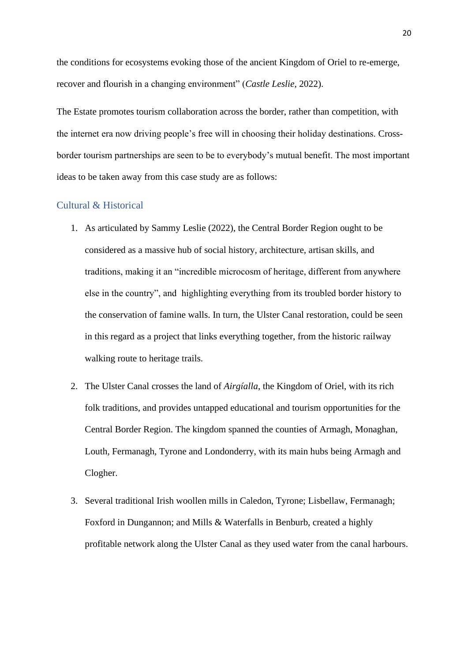the conditions for ecosystems evoking those of the ancient Kingdom of Oriel to re-emerge, recover and flourish in a changing environment" (*Castle Leslie*, 2022).

The Estate promotes tourism collaboration across the border, rather than competition, with the internet era now driving people's free will in choosing their holiday destinations. Crossborder tourism partnerships are seen to be to everybody's mutual benefit. The most important ideas to be taken away from this case study are as follows:

#### <span id="page-19-0"></span>Cultural & Historical

- 1. As articulated by Sammy Leslie (2022), the Central Border Region ought to be considered as a massive hub of social history, architecture, artisan skills, and traditions, making it an "incredible microcosm of heritage, different from anywhere else in the country", and highlighting everything from its troubled border history to the conservation of famine walls. In turn, the Ulster Canal restoration, could be seen in this regard as a project that links everything together, from the historic railway walking route to heritage trails.
- 2. The Ulster Canal crosses the land of *Airgíalla*, the Kingdom of Oriel, with its rich folk traditions, and provides untapped educational and tourism opportunities for the Central Border Region. The kingdom spanned the counties of Armagh, Monaghan, Louth, Fermanagh, Tyrone and Londonderry, with its main hubs being Armagh and Clogher.
- 3. Several traditional Irish woollen mills in Caledon, Tyrone; Lisbellaw, Fermanagh; Foxford in Dungannon; and Mills & Waterfalls in Benburb, created a highly profitable network along the Ulster Canal as they used water from the canal harbours.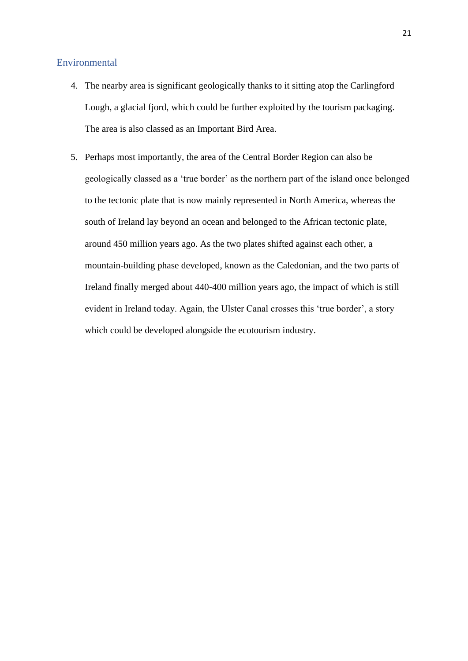#### <span id="page-20-0"></span>Environmental

- 4. The nearby area is significant geologically thanks to it sitting atop the Carlingford Lough, a glacial fjord, which could be further exploited by the tourism packaging. The area is also classed as an Important Bird Area.
- 5. Perhaps most importantly, the area of the Central Border Region can also be geologically classed as a 'true border' as the northern part of the island once belonged to the tectonic plate that is now mainly represented in North America, whereas the south of Ireland lay beyond an ocean and belonged to the African tectonic plate, around 450 million years ago. As the two plates shifted against each other, a mountain-building phase developed, known as the Caledonian, and the two parts of Ireland finally merged about 440-400 million years ago, the impact of which is still evident in Ireland today. Again, the Ulster Canal crosses this 'true border', a story which could be developed alongside the ecotourism industry.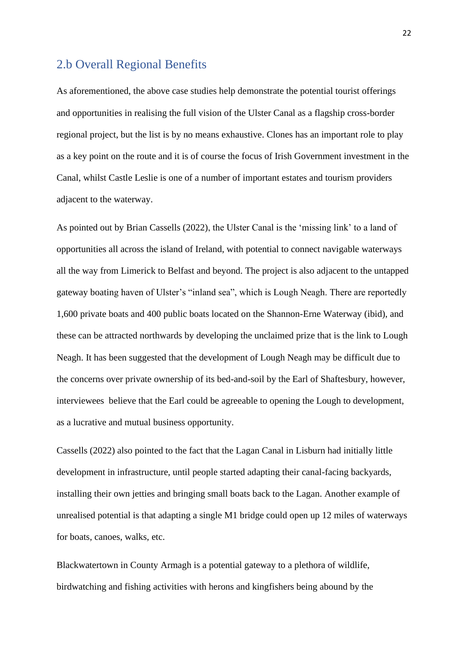## <span id="page-21-0"></span>2.b Overall Regional Benefits

As aforementioned, the above case studies help demonstrate the potential tourist offerings and opportunities in realising the full vision of the Ulster Canal as a flagship cross-border regional project, but the list is by no means exhaustive. Clones has an important role to play as a key point on the route and it is of course the focus of Irish Government investment in the Canal, whilst Castle Leslie is one of a number of important estates and tourism providers adjacent to the waterway.

As pointed out by Brian Cassells (2022), the Ulster Canal is the 'missing link' to a land of opportunities all across the island of Ireland, with potential to connect navigable waterways all the way from Limerick to Belfast and beyond. The project is also adjacent to the untapped gateway boating haven of Ulster's "inland sea", which is Lough Neagh. There are reportedly 1,600 private boats and 400 public boats located on the Shannon-Erne Waterway (ibid), and these can be attracted northwards by developing the unclaimed prize that is the link to Lough Neagh. It has been suggested that the development of Lough Neagh may be difficult due to the concerns over private ownership of its bed-and-soil by the Earl of Shaftesbury, however, interviewees believe that the Earl could be agreeable to opening the Lough to development, as a lucrative and mutual business opportunity.

Cassells (2022) also pointed to the fact that the Lagan Canal in Lisburn had initially little development in infrastructure, until people started adapting their canal-facing backyards, installing their own jetties and bringing small boats back to the Lagan. Another example of unrealised potential is that adapting a single M1 bridge could open up 12 miles of waterways for boats, canoes, walks, etc.

Blackwatertown in County Armagh is a potential gateway to a plethora of wildlife, birdwatching and fishing activities with herons and kingfishers being abound by the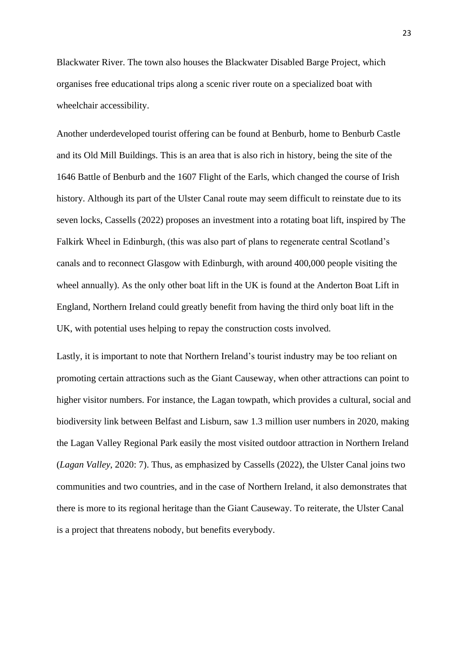Blackwater River. The town also houses the Blackwater Disabled Barge Project, which organises free educational trips along a scenic river route on a specialized boat with wheelchair accessibility.

Another underdeveloped tourist offering can be found at Benburb, home to Benburb Castle and its Old Mill Buildings. This is an area that is also rich in history, being the site of the 1646 Battle of Benburb and the 1607 Flight of the Earls, which changed the course of Irish history. Although its part of the Ulster Canal route may seem difficult to reinstate due to its seven locks, Cassells (2022) proposes an investment into a rotating boat lift, inspired by The Falkirk Wheel in Edinburgh, (this was also part of plans to regenerate central Scotland's canals and to reconnect Glasgow with Edinburgh, with around 400,000 people visiting the wheel annually). As the only other boat lift in the UK is found at the Anderton Boat Lift in England, Northern Ireland could greatly benefit from having the third only boat lift in the UK, with potential uses helping to repay the construction costs involved.

Lastly, it is important to note that Northern Ireland's tourist industry may be too reliant on promoting certain attractions such as the Giant Causeway, when other attractions can point to higher visitor numbers. For instance, the Lagan towpath, which provides a cultural, social and biodiversity link between Belfast and Lisburn, saw 1.3 million user numbers in 2020, making the Lagan Valley Regional Park easily the most visited outdoor attraction in Northern Ireland (*Lagan Valley*, 2020: 7). Thus, as emphasized by Cassells (2022), the Ulster Canal joins two communities and two countries, and in the case of Northern Ireland, it also demonstrates that there is more to its regional heritage than the Giant Causeway. To reiterate, the Ulster Canal is a project that threatens nobody, but benefits everybody.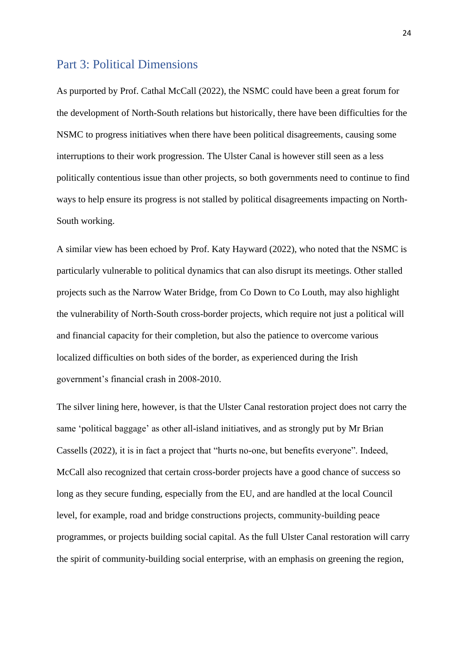### <span id="page-23-0"></span>Part 3: Political Dimensions

As purported by Prof. Cathal McCall (2022), the NSMC could have been a great forum for the development of North-South relations but historically, there have been difficulties for the NSMC to progress initiatives when there have been political disagreements, causing some interruptions to their work progression. The Ulster Canal is however still seen as a less politically contentious issue than other projects, so both governments need to continue to find ways to help ensure its progress is not stalled by political disagreements impacting on North-South working.

A similar view has been echoed by Prof. Katy Hayward (2022), who noted that the NSMC is particularly vulnerable to political dynamics that can also disrupt its meetings. Other stalled projects such as the Narrow Water Bridge, from Co Down to Co Louth, may also highlight the vulnerability of North-South cross-border projects, which require not just a political will and financial capacity for their completion, but also the patience to overcome various localized difficulties on both sides of the border, as experienced during the Irish government's financial crash in 2008-2010.

The silver lining here, however, is that the Ulster Canal restoration project does not carry the same 'political baggage' as other all-island initiatives, and as strongly put by Mr Brian Cassells (2022), it is in fact a project that "hurts no-one, but benefits everyone". Indeed, McCall also recognized that certain cross-border projects have a good chance of success so long as they secure funding, especially from the EU, and are handled at the local Council level, for example, road and bridge constructions projects, community-building peace programmes, or projects building social capital. As the full Ulster Canal restoration will carry the spirit of community-building social enterprise, with an emphasis on greening the region,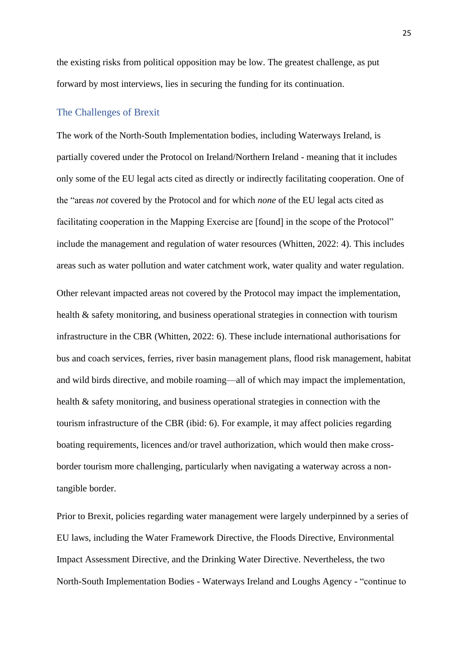the existing risks from political opposition may be low. The greatest challenge, as put forward by most interviews, lies in securing the funding for its continuation.

#### <span id="page-24-0"></span>The Challenges of Brexit

The work of the North-South Implementation bodies, including Waterways Ireland, is partially covered under the Protocol on Ireland/Northern Ireland - meaning that it includes only some of the EU legal acts cited as directly or indirectly facilitating cooperation. One of the "areas *not* covered by the Protocol and for which *none* of the EU legal acts cited as facilitating cooperation in the Mapping Exercise are [found] in the scope of the Protocol" include the management and regulation of water resources (Whitten, 2022: 4). This includes areas such as water pollution and water catchment work, water quality and water regulation. Other relevant impacted areas not covered by the Protocol may impact the implementation, health & safety monitoring, and business operational strategies in connection with tourism infrastructure in the CBR (Whitten, 2022: 6). These include international authorisations for bus and coach services, ferries, river basin management plans, flood risk management, habitat and wild birds directive, and mobile roaming—all of which may impact the implementation, health & safety monitoring, and business operational strategies in connection with the tourism infrastructure of the CBR (ibid: 6). For example, it may affect policies regarding boating requirements, licences and/or travel authorization, which would then make crossborder tourism more challenging, particularly when navigating a waterway across a nontangible border.

Prior to Brexit, policies regarding water management were largely underpinned by a series of EU laws, including the Water Framework Directive, the Floods Directive, Environmental Impact Assessment Directive, and the Drinking Water Directive. Nevertheless, the two North-South Implementation Bodies - Waterways Ireland and Loughs Agency - "continue to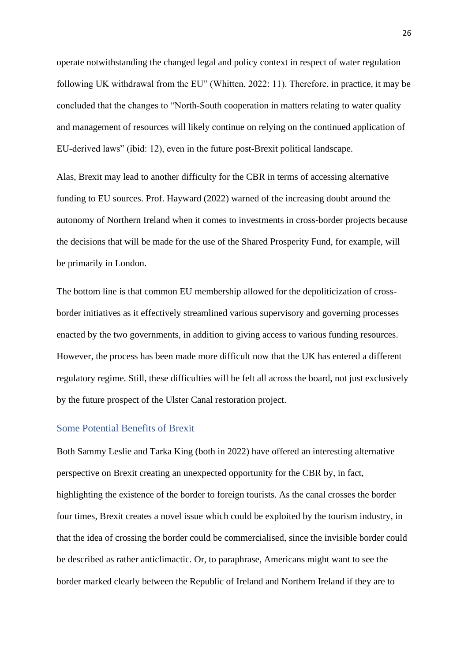operate notwithstanding the changed legal and policy context in respect of water regulation following UK withdrawal from the EU" (Whitten, 2022: 11). Therefore, in practice, it may be concluded that the changes to "North-South cooperation in matters relating to water quality and management of resources will likely continue on relying on the continued application of EU-derived laws" (ibid: 12), even in the future post-Brexit political landscape.

Alas, Brexit may lead to another difficulty for the CBR in terms of accessing alternative funding to EU sources. Prof. Hayward (2022) warned of the increasing doubt around the autonomy of Northern Ireland when it comes to investments in cross-border projects because the decisions that will be made for the use of the Shared Prosperity Fund, for example, will be primarily in London.

The bottom line is that common EU membership allowed for the depoliticization of crossborder initiatives as it effectively streamlined various supervisory and governing processes enacted by the two governments, in addition to giving access to various funding resources. However, the process has been made more difficult now that the UK has entered a different regulatory regime. Still, these difficulties will be felt all across the board, not just exclusively by the future prospect of the Ulster Canal restoration project.

#### <span id="page-25-0"></span>Some Potential Benefits of Brexit

Both Sammy Leslie and Tarka King (both in 2022) have offered an interesting alternative perspective on Brexit creating an unexpected opportunity for the CBR by, in fact, highlighting the existence of the border to foreign tourists. As the canal crosses the border four times, Brexit creates a novel issue which could be exploited by the tourism industry, in that the idea of crossing the border could be commercialised, since the invisible border could be described as rather anticlimactic. Or, to paraphrase, Americans might want to see the border marked clearly between the Republic of Ireland and Northern Ireland if they are to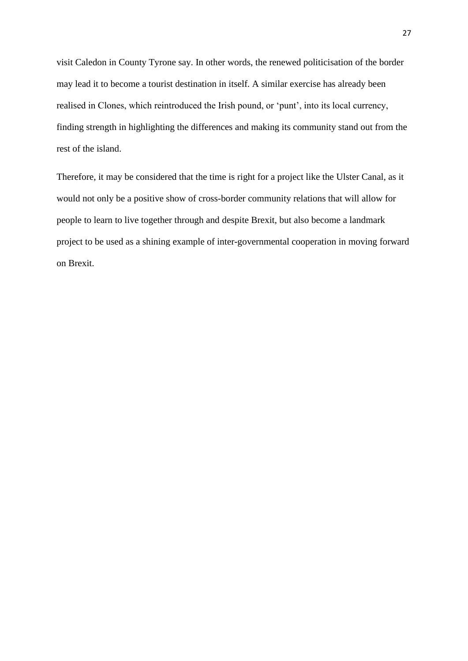visit Caledon in County Tyrone say. In other words, the renewed politicisation of the border may lead it to become a tourist destination in itself. A similar exercise has already been realised in Clones, which reintroduced the Irish pound, or 'punt', into its local currency, finding strength in highlighting the differences and making its community stand out from the rest of the island.

Therefore, it may be considered that the time is right for a project like the Ulster Canal, as it would not only be a positive show of cross-border community relations that will allow for people to learn to live together through and despite Brexit, but also become a landmark project to be used as a shining example of inter-governmental cooperation in moving forward on Brexit.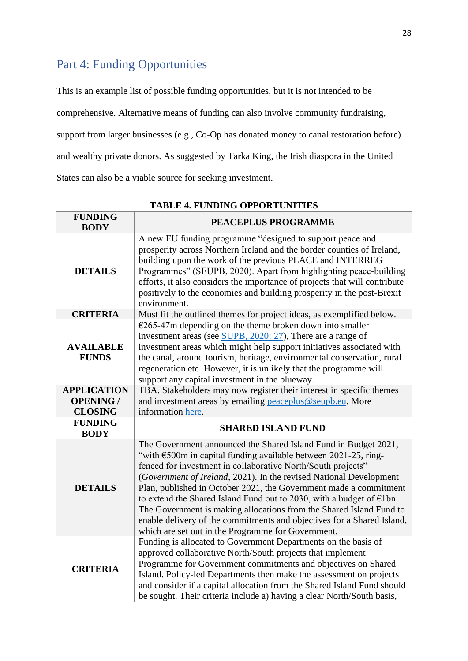# <span id="page-27-0"></span>Part 4: Funding Opportunities

This is an example list of possible funding opportunities, but it is not intended to be comprehensive. Alternative means of funding can also involve community fundraising, support from larger businesses (e.g., Co-Op has donated money to canal restoration before) and wealthy private donors. As suggested by Tarka King, the Irish diaspora in the United States can also be a viable source for seeking investment.

| <b>FUNDING</b><br><b>BODY</b>    | PEACEPLUS PROGRAMME                                                                                                                                                                                                                                                                                                                                                                                                                                                                                                                                                                                                                              |
|----------------------------------|--------------------------------------------------------------------------------------------------------------------------------------------------------------------------------------------------------------------------------------------------------------------------------------------------------------------------------------------------------------------------------------------------------------------------------------------------------------------------------------------------------------------------------------------------------------------------------------------------------------------------------------------------|
| <b>DETAILS</b>                   | A new EU funding programme "designed to support peace and<br>prosperity across Northern Ireland and the border counties of Ireland,<br>building upon the work of the previous PEACE and INTERREG<br>Programmes" (SEUPB, 2020). Apart from highlighting peace-building<br>efforts, it also considers the importance of projects that will contribute<br>positively to the economies and building prosperity in the post-Brexit<br>environment.                                                                                                                                                                                                    |
| <b>CRITERIA</b>                  | Must fit the outlined themes for project ideas, as exemplified below.                                                                                                                                                                                                                                                                                                                                                                                                                                                                                                                                                                            |
| <b>AVAILABLE</b><br><b>FUNDS</b> | $E265-47m$ depending on the theme broken down into smaller<br>investment areas (see SUPB, 2020: 27), There are a range of<br>investment areas which might help support initiatives associated with<br>the canal, around tourism, heritage, environmental conservation, rural<br>regeneration etc. However, it is unlikely that the programme will<br>support any capital investment in the blueway.                                                                                                                                                                                                                                              |
| <b>APPLICATION</b>               | TBA. Stakeholders may now register their interest in specific themes                                                                                                                                                                                                                                                                                                                                                                                                                                                                                                                                                                             |
| <b>OPENING /</b>                 | and investment areas by emailing peaceplus@seupb.eu. More                                                                                                                                                                                                                                                                                                                                                                                                                                                                                                                                                                                        |
| <b>CLOSING</b>                   | information here.                                                                                                                                                                                                                                                                                                                                                                                                                                                                                                                                                                                                                                |
| <b>FUNDING</b><br><b>BODY</b>    | <b>SHARED ISLAND FUND</b>                                                                                                                                                                                                                                                                                                                                                                                                                                                                                                                                                                                                                        |
| <b>DETAILS</b>                   | The Government announced the Shared Island Fund in Budget 2021,<br>"with $\epsilon$ 500m in capital funding available between 2021-25, ring-<br>fenced for investment in collaborative North/South projects"<br>(Government of Ireland, 2021). In the revised National Development<br>Plan, published in October 2021, the Government made a commitment<br>to extend the Shared Island Fund out to 2030, with a budget of $\epsilon$ 1bn.<br>The Government is making allocations from the Shared Island Fund to<br>enable delivery of the commitments and objectives for a Shared Island,<br>which are set out in the Programme for Government. |
| <b>CRITERIA</b>                  | Funding is allocated to Government Departments on the basis of<br>approved collaborative North/South projects that implement<br>Programme for Government commitments and objectives on Shared<br>Island. Policy-led Departments then make the assessment on projects<br>and consider if a capital allocation from the Shared Island Fund should<br>be sought. Their criteria include a) having a clear North/South basis,                                                                                                                                                                                                                        |

**TABLE 4. FUNDING OPPORTUNITIES**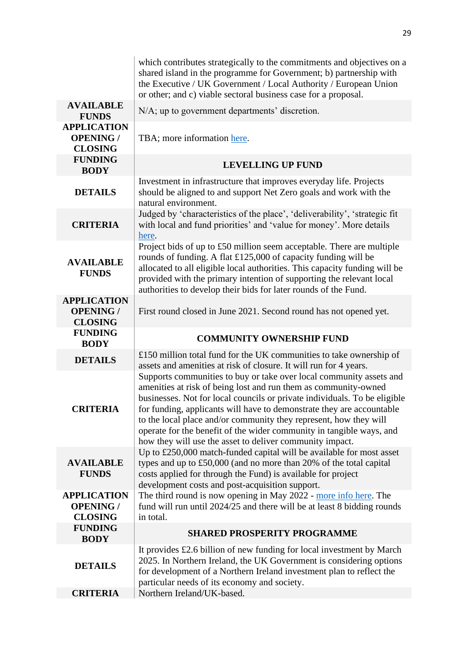|                                                          | which contributes strategically to the commitments and objectives on a<br>shared island in the programme for Government; b) partnership with<br>the Executive / UK Government / Local Authority / European Union<br>or other; and c) viable sectoral business case for a proposal.                                                                                                                                                                                                                             |
|----------------------------------------------------------|----------------------------------------------------------------------------------------------------------------------------------------------------------------------------------------------------------------------------------------------------------------------------------------------------------------------------------------------------------------------------------------------------------------------------------------------------------------------------------------------------------------|
| <b>AVAILABLE</b><br><b>FUNDS</b>                         | N/A; up to government departments' discretion.                                                                                                                                                                                                                                                                                                                                                                                                                                                                 |
| <b>APPLICATION</b><br><b>OPENING /</b><br><b>CLOSING</b> | TBA; more information here.                                                                                                                                                                                                                                                                                                                                                                                                                                                                                    |
| <b>FUNDING</b><br><b>BODY</b>                            | <b>LEVELLING UP FUND</b>                                                                                                                                                                                                                                                                                                                                                                                                                                                                                       |
| <b>DETAILS</b>                                           | Investment in infrastructure that improves everyday life. Projects<br>should be aligned to and support Net Zero goals and work with the<br>natural environment.                                                                                                                                                                                                                                                                                                                                                |
| <b>CRITERIA</b>                                          | Judged by 'characteristics of the place', 'deliverability', 'strategic fit<br>with local and fund priorities' and 'value for money'. More details<br>here.                                                                                                                                                                                                                                                                                                                                                     |
| <b>AVAILABLE</b><br><b>FUNDS</b>                         | Project bids of up to £50 million seem acceptable. There are multiple<br>rounds of funding. A flat £125,000 of capacity funding will be<br>allocated to all eligible local authorities. This capacity funding will be<br>provided with the primary intention of supporting the relevant local<br>authorities to develop their bids for later rounds of the Fund.                                                                                                                                               |
| <b>APPLICATION</b><br><b>OPENING /</b><br><b>CLOSING</b> | First round closed in June 2021. Second round has not opened yet.                                                                                                                                                                                                                                                                                                                                                                                                                                              |
|                                                          |                                                                                                                                                                                                                                                                                                                                                                                                                                                                                                                |
| <b>FUNDING</b>                                           | <b>COMMUNITY OWNERSHIP FUND</b>                                                                                                                                                                                                                                                                                                                                                                                                                                                                                |
| <b>BODY</b><br><b>DETAILS</b>                            | £150 million total fund for the UK communities to take ownership of                                                                                                                                                                                                                                                                                                                                                                                                                                            |
| <b>CRITERIA</b>                                          | assets and amenities at risk of closure. It will run for 4 years.<br>Supports communities to buy or take over local community assets and<br>amenities at risk of being lost and run them as community-owned<br>businesses. Not for local councils or private individuals. To be eligible<br>for funding, applicants will have to demonstrate they are accountable<br>to the local place and/or community they represent, how they will<br>operate for the benefit of the wider community in tangible ways, and |
| <b>AVAILABLE</b><br><b>FUNDS</b>                         | how they will use the asset to deliver community impact.<br>Up to £250,000 match-funded capital will be available for most asset<br>types and up to £50,000 (and no more than 20% of the total capital<br>costs applied for through the Fund) is available for project<br>development costs and post-acquisition support.                                                                                                                                                                                      |
| <b>APPLICATION</b><br><b>OPENING /</b><br><b>CLOSING</b> | The third round is now opening in May 2022 - more info here. The<br>fund will run until 2024/25 and there will be at least 8 bidding rounds<br>in total.                                                                                                                                                                                                                                                                                                                                                       |
| <b>FUNDING</b><br><b>BODY</b>                            | <b>SHARED PROSPERITY PROGRAMME</b>                                                                                                                                                                                                                                                                                                                                                                                                                                                                             |
| <b>DETAILS</b><br><b>CRITERIA</b>                        | It provides £2.6 billion of new funding for local investment by March<br>2025. In Northern Ireland, the UK Government is considering options<br>for development of a Northern Ireland investment plan to reflect the<br>particular needs of its economy and society.<br>Northern Ireland/UK-based.                                                                                                                                                                                                             |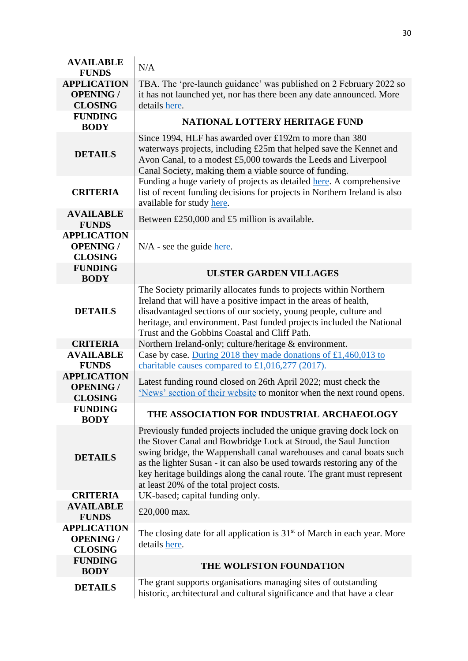| <b>AVAILABLE</b><br><b>FUNDS</b>                         | N/A                                                                                                                                                                                                                                                                                                                                                                                                             |
|----------------------------------------------------------|-----------------------------------------------------------------------------------------------------------------------------------------------------------------------------------------------------------------------------------------------------------------------------------------------------------------------------------------------------------------------------------------------------------------|
| <b>APPLICATION</b><br><b>OPENING /</b><br><b>CLOSING</b> | TBA. The 'pre-launch guidance' was published on 2 February 2022 so<br>it has not launched yet, nor has there been any date announced. More<br>details here.                                                                                                                                                                                                                                                     |
| <b>FUNDING</b><br><b>BODY</b>                            | <b>NATIONAL LOTTERY HERITAGE FUND</b>                                                                                                                                                                                                                                                                                                                                                                           |
| <b>DETAILS</b>                                           | Since 1994, HLF has awarded over £192m to more than 380<br>waterways projects, including £25m that helped save the Kennet and<br>Avon Canal, to a modest £5,000 towards the Leeds and Liverpool<br>Canal Society, making them a viable source of funding.                                                                                                                                                       |
| <b>CRITERIA</b>                                          | Funding a huge variety of projects as detailed here. A comprehensive<br>list of recent funding decisions for projects in Northern Ireland is also<br>available for study here.                                                                                                                                                                                                                                  |
| <b>AVAILABLE</b><br><b>FUNDS</b>                         | Between £250,000 and £5 million is available.                                                                                                                                                                                                                                                                                                                                                                   |
| <b>APPLICATION</b><br><b>OPENING /</b><br><b>CLOSING</b> | $N/A$ - see the guide here.                                                                                                                                                                                                                                                                                                                                                                                     |
| <b>FUNDING</b><br><b>BODY</b>                            | <b>ULSTER GARDEN VILLAGES</b>                                                                                                                                                                                                                                                                                                                                                                                   |
| <b>DETAILS</b>                                           | The Society primarily allocates funds to projects within Northern<br>Ireland that will have a positive impact in the areas of health,<br>disadvantaged sections of our society, young people, culture and<br>heritage, and environment. Past funded projects included the National<br>Trust and the Gobbins Coastal and Cliff Path.                                                                             |
| <b>CRITERIA</b>                                          | Northern Ireland-only; culture/heritage & environment.                                                                                                                                                                                                                                                                                                                                                          |
| <b>AVAILABLE</b><br><b>FUNDS</b>                         | Case by case. During 2018 they made donations of £1,460,013 to<br>charitable causes compared to £1,016,277 (2017).                                                                                                                                                                                                                                                                                              |
| <b>APPLICATION</b><br><b>OPENING /</b><br><b>CLOSING</b> | Latest funding round closed on 26th April 2022; must check the<br>'News' section of their website to monitor when the next round opens.                                                                                                                                                                                                                                                                         |
| <b>FUNDING</b><br><b>BODY</b>                            | THE ASSOCIATION FOR INDUSTRIAL ARCHAEOLOGY                                                                                                                                                                                                                                                                                                                                                                      |
| <b>DETAILS</b>                                           | Previously funded projects included the unique graving dock lock on<br>the Stover Canal and Bowbridge Lock at Stroud, the Saul Junction<br>swing bridge, the Wappenshall canal warehouses and canal boats such<br>as the lighter Susan - it can also be used towards restoring any of the<br>key heritage buildings along the canal route. The grant must represent<br>at least 20% of the total project costs. |
| <b>CRITERIA</b>                                          | UK-based; capital funding only.                                                                                                                                                                                                                                                                                                                                                                                 |
| <b>AVAILABLE</b><br><b>FUNDS</b>                         | £20,000 max.                                                                                                                                                                                                                                                                                                                                                                                                    |
| <b>APPLICATION</b><br><b>OPENING /</b><br><b>CLOSING</b> | The closing date for all application is $31st$ of March in each year. More<br>details here.                                                                                                                                                                                                                                                                                                                     |
| <b>FUNDING</b><br><b>BODY</b>                            | THE WOLFSTON FOUNDATION                                                                                                                                                                                                                                                                                                                                                                                         |
| <b>DETAILS</b>                                           | The grant supports organisations managing sites of outstanding<br>historic, architectural and cultural significance and that have a clear                                                                                                                                                                                                                                                                       |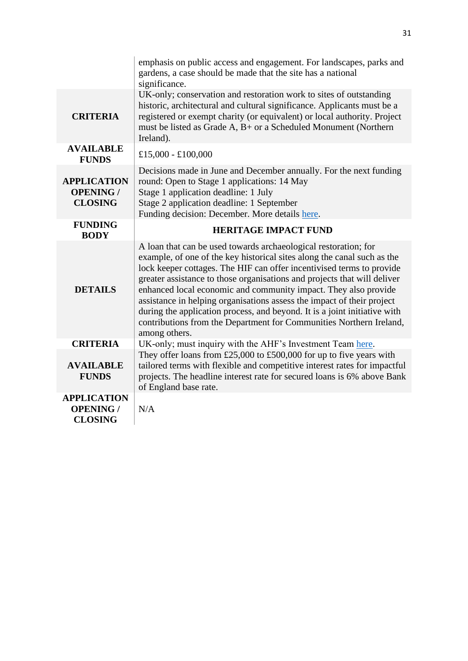|                                                          | emphasis on public access and engagement. For landscapes, parks and<br>gardens, a case should be made that the site has a national<br>significance.                                                                                                                                                                                                                                                                                                                                                                                                                                                               |
|----------------------------------------------------------|-------------------------------------------------------------------------------------------------------------------------------------------------------------------------------------------------------------------------------------------------------------------------------------------------------------------------------------------------------------------------------------------------------------------------------------------------------------------------------------------------------------------------------------------------------------------------------------------------------------------|
| <b>CRITERIA</b>                                          | UK-only; conservation and restoration work to sites of outstanding<br>historic, architectural and cultural significance. Applicants must be a<br>registered or exempt charity (or equivalent) or local authority. Project<br>must be listed as Grade A, B+ or a Scheduled Monument (Northern<br>Ireland).                                                                                                                                                                                                                                                                                                         |
| <b>AVAILABLE</b><br><b>FUNDS</b>                         | £15,000 - £100,000                                                                                                                                                                                                                                                                                                                                                                                                                                                                                                                                                                                                |
| <b>APPLICATION</b><br><b>OPENING /</b><br><b>CLOSING</b> | Decisions made in June and December annually. For the next funding<br>round: Open to Stage 1 applications: 14 May<br>Stage 1 application deadline: 1 July<br>Stage 2 application deadline: 1 September<br>Funding decision: December. More details here.                                                                                                                                                                                                                                                                                                                                                          |
| <b>FUNDING</b><br><b>BODY</b>                            | <b>HERITAGE IMPACT FUND</b>                                                                                                                                                                                                                                                                                                                                                                                                                                                                                                                                                                                       |
| <b>DETAILS</b>                                           | A loan that can be used towards archaeological restoration; for<br>example, of one of the key historical sites along the canal such as the<br>lock keeper cottages. The HIF can offer incentivised terms to provide<br>greater assistance to those organisations and projects that will deliver<br>enhanced local economic and community impact. They also provide<br>assistance in helping organisations assess the impact of their project<br>during the application process, and beyond. It is a joint initiative with<br>contributions from the Department for Communities Northern Ireland,<br>among others. |
| <b>CRITERIA</b>                                          | UK-only; must inquiry with the AHF's Investment Team here.                                                                                                                                                                                                                                                                                                                                                                                                                                                                                                                                                        |
| <b>AVAILABLE</b><br><b>FUNDS</b>                         | They offer loans from £25,000 to £500,000 for up to five years with<br>tailored terms with flexible and competitive interest rates for impactful<br>projects. The headline interest rate for secured loans is 6% above Bank<br>of England base rate.                                                                                                                                                                                                                                                                                                                                                              |
| <b>APPLICATION</b><br><b>OPENING /</b><br><b>CLOSING</b> | N/A                                                                                                                                                                                                                                                                                                                                                                                                                                                                                                                                                                                                               |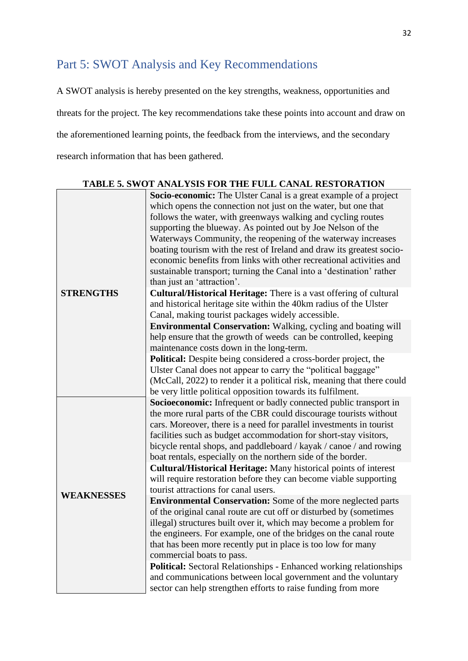# <span id="page-31-0"></span>Part 5: SWOT Analysis and Key Recommendations

A SWOT analysis is hereby presented on the key strengths, weakness, opportunities and threats for the project. The key recommendations take these points into account and draw on the aforementioned learning points, the feedback from the interviews, and the secondary research information that has been gathered.

| <b>TABLE 5. SWOT ANALYSIS FOR THE FULL CANAL RESTORATION</b> |                                                                           |  |  |
|--------------------------------------------------------------|---------------------------------------------------------------------------|--|--|
|                                                              | <b>Socio-economic:</b> The Ulster Canal is a great example of a project   |  |  |
|                                                              | which opens the connection not just on the water, but one that            |  |  |
|                                                              | follows the water, with greenways walking and cycling routes              |  |  |
|                                                              | supporting the blueway. As pointed out by Joe Nelson of the               |  |  |
|                                                              | Waterways Community, the reopening of the waterway increases              |  |  |
|                                                              | boating tourism with the rest of Ireland and draw its greatest socio-     |  |  |
|                                                              | economic benefits from links with other recreational activities and       |  |  |
|                                                              | sustainable transport; turning the Canal into a 'destination' rather      |  |  |
|                                                              | than just an 'attraction'.                                                |  |  |
| <b>STRENGTHS</b>                                             | <b>Cultural/Historical Heritage:</b> There is a vast offering of cultural |  |  |
|                                                              | and historical heritage site within the 40km radius of the Ulster         |  |  |
|                                                              | Canal, making tourist packages widely accessible.                         |  |  |
|                                                              | <b>Environmental Conservation:</b> Walking, cycling and boating will      |  |  |
|                                                              | help ensure that the growth of weeds can be controlled, keeping           |  |  |
|                                                              | maintenance costs down in the long-term.                                  |  |  |
|                                                              | Political: Despite being considered a cross-border project, the           |  |  |
|                                                              | Ulster Canal does not appear to carry the "political baggage"             |  |  |
|                                                              | (McCall, 2022) to render it a political risk, meaning that there could    |  |  |
|                                                              | be very little political opposition towards its fulfilment.               |  |  |
|                                                              | Socioeconomic: Infrequent or badly connected public transport in          |  |  |
|                                                              | the more rural parts of the CBR could discourage tourists without         |  |  |
|                                                              | cars. Moreover, there is a need for parallel investments in tourist       |  |  |
|                                                              | facilities such as budget accommodation for short-stay visitors,          |  |  |
|                                                              | bicycle rental shops, and paddleboard / kayak / canoe / and rowing        |  |  |
|                                                              | boat rentals, especially on the northern side of the border.              |  |  |
|                                                              | <b>Cultural/Historical Heritage:</b> Many historical points of interest   |  |  |
|                                                              | will require restoration before they can become viable supporting         |  |  |
|                                                              | tourist attractions for canal users.                                      |  |  |
| <b>WEAKNESSES</b>                                            | <b>Environmental Conservation:</b> Some of the more neglected parts       |  |  |
|                                                              | of the original canal route are cut off or disturbed by (sometimes        |  |  |
|                                                              | illegal) structures built over it, which may become a problem for         |  |  |
|                                                              | the engineers. For example, one of the bridges on the canal route         |  |  |
|                                                              | that has been more recently put in place is too low for many              |  |  |
|                                                              | commercial boats to pass.                                                 |  |  |
|                                                              | <b>Political:</b> Sectoral Relationships - Enhanced working relationships |  |  |
|                                                              | and communications between local government and the voluntary             |  |  |
|                                                              | sector can help strengthen efforts to raise funding from more             |  |  |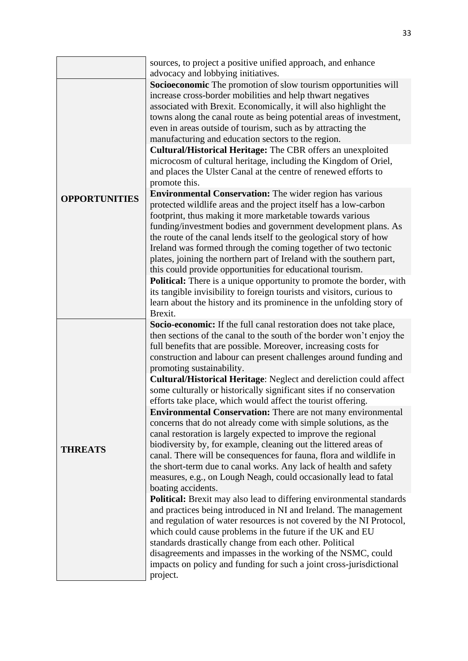|                      | sources, to project a positive unified approach, and enhance<br>advocacy and lobbying initiatives.                                                                                                                                                                                                                                                                                                                                                                                                                                                                                                                                                                                                                                                                                                                                                                                                                                                                                                                                                                                                                                                                                                                                                                                                                                                                                                                                                                                                                                                      |
|----------------------|---------------------------------------------------------------------------------------------------------------------------------------------------------------------------------------------------------------------------------------------------------------------------------------------------------------------------------------------------------------------------------------------------------------------------------------------------------------------------------------------------------------------------------------------------------------------------------------------------------------------------------------------------------------------------------------------------------------------------------------------------------------------------------------------------------------------------------------------------------------------------------------------------------------------------------------------------------------------------------------------------------------------------------------------------------------------------------------------------------------------------------------------------------------------------------------------------------------------------------------------------------------------------------------------------------------------------------------------------------------------------------------------------------------------------------------------------------------------------------------------------------------------------------------------------------|
| <b>OPPORTUNITIES</b> | Socioeconomic The promotion of slow tourism opportunities will<br>increase cross-border mobilities and help thwart negatives<br>associated with Brexit. Economically, it will also highlight the<br>towns along the canal route as being potential areas of investment,<br>even in areas outside of tourism, such as by attracting the<br>manufacturing and education sectors to the region.<br>Cultural/Historical Heritage: The CBR offers an unexploited<br>microcosm of cultural heritage, including the Kingdom of Oriel,<br>and places the Ulster Canal at the centre of renewed efforts to<br>promote this.<br><b>Environmental Conservation:</b> The wider region has various<br>protected wildlife areas and the project itself has a low-carbon<br>footprint, thus making it more marketable towards various<br>funding/investment bodies and government development plans. As<br>the route of the canal lends itself to the geological story of how<br>Ireland was formed through the coming together of two tectonic<br>plates, joining the northern part of Ireland with the southern part,<br>this could provide opportunities for educational tourism.<br><b>Political:</b> There is a unique opportunity to promote the border, with<br>its tangible invisibility to foreign tourists and visitors, curious to<br>learn about the history and its prominence in the unfolding story of<br>Brexit.                                                                                                                                       |
| <b>THREATS</b>       | Socio-economic: If the full canal restoration does not take place,<br>then sections of the canal to the south of the border won't enjoy the<br>full benefits that are possible. Moreover, increasing costs for<br>construction and labour can present challenges around funding and<br>promoting sustainability.<br>Cultural/Historical Heritage: Neglect and dereliction could affect<br>some culturally or historically significant sites if no conservation<br>efforts take place, which would affect the tourist offering.<br><b>Environmental Conservation:</b> There are not many environmental<br>concerns that do not already come with simple solutions, as the<br>canal restoration is largely expected to improve the regional<br>biodiversity by, for example, cleaning out the littered areas of<br>canal. There will be consequences for fauna, flora and wildlife in<br>the short-term due to canal works. Any lack of health and safety<br>measures, e.g., on Lough Neagh, could occasionally lead to fatal<br>boating accidents.<br><b>Political:</b> Brexit may also lead to differing environmental standards<br>and practices being introduced in NI and Ireland. The management<br>and regulation of water resources is not covered by the NI Protocol,<br>which could cause problems in the future if the UK and EU<br>standards drastically change from each other. Political<br>disagreements and impasses in the working of the NSMC, could<br>impacts on policy and funding for such a joint cross-jurisdictional<br>project. |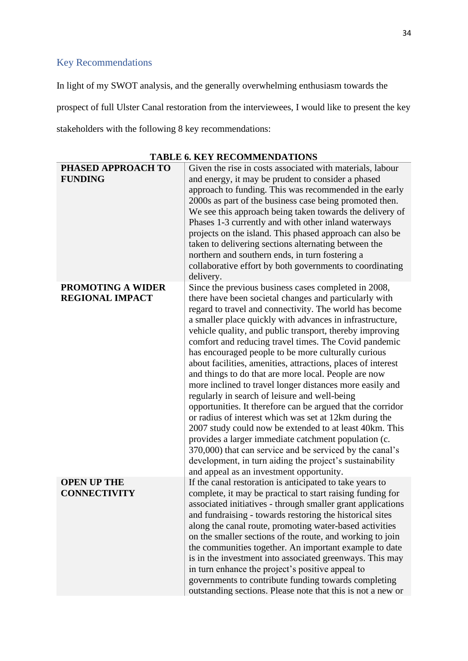## <span id="page-33-0"></span>Key Recommendations

In light of my SWOT analysis, and the generally overwhelming enthusiasm towards the prospect of full Ulster Canal restoration from the interviewees, I would like to present the key stakeholders with the following 8 key recommendations:

| PHASED APPROACH TO                                 | Given the rise in costs associated with materials, labour                                                                                                                                                                                                                                                                                                                                                                                                                                                                                                                                                                                                                                                                                                                                                                                                                                                                                                                                                                                                              |
|----------------------------------------------------|------------------------------------------------------------------------------------------------------------------------------------------------------------------------------------------------------------------------------------------------------------------------------------------------------------------------------------------------------------------------------------------------------------------------------------------------------------------------------------------------------------------------------------------------------------------------------------------------------------------------------------------------------------------------------------------------------------------------------------------------------------------------------------------------------------------------------------------------------------------------------------------------------------------------------------------------------------------------------------------------------------------------------------------------------------------------|
| <b>FUNDING</b>                                     | and energy, it may be prudent to consider a phased<br>approach to funding. This was recommended in the early<br>2000s as part of the business case being promoted then.<br>We see this approach being taken towards the delivery of<br>Phases 1-3 currently and with other inland waterways<br>projects on the island. This phased approach can also be<br>taken to delivering sections alternating between the<br>northern and southern ends, in turn fostering a<br>collaborative effort by both governments to coordinating<br>delivery.                                                                                                                                                                                                                                                                                                                                                                                                                                                                                                                            |
| <b>PROMOTING A WIDER</b><br><b>REGIONAL IMPACT</b> | Since the previous business cases completed in 2008,<br>there have been societal changes and particularly with<br>regard to travel and connectivity. The world has become<br>a smaller place quickly with advances in infrastructure,<br>vehicle quality, and public transport, thereby improving<br>comfort and reducing travel times. The Covid pandemic<br>has encouraged people to be more culturally curious<br>about facilities, amenities, attractions, places of interest<br>and things to do that are more local. People are now<br>more inclined to travel longer distances more easily and<br>regularly in search of leisure and well-being<br>opportunities. It therefore can be argued that the corridor<br>or radius of interest which was set at 12km during the<br>2007 study could now be extended to at least 40km. This<br>provides a larger immediate catchment population (c.<br>370,000) that can service and be serviced by the canal's<br>development, in turn aiding the project's sustainability<br>and appeal as an investment opportunity. |
| <b>OPEN UP THE</b><br><b>CONNECTIVITY</b>          | If the canal restoration is anticipated to take years to<br>complete, it may be practical to start raising funding for<br>associated initiatives - through smaller grant applications<br>and fundraising - towards restoring the historical sites<br>along the canal route, promoting water-based activities<br>on the smaller sections of the route, and working to join<br>the communities together. An important example to date<br>is in the investment into associated greenways. This may<br>in turn enhance the project's positive appeal to<br>governments to contribute funding towards completing<br>outstanding sections. Please note that this is not a new or                                                                                                                                                                                                                                                                                                                                                                                             |

**TABLE 6. KEY RECOMMENDATIONS**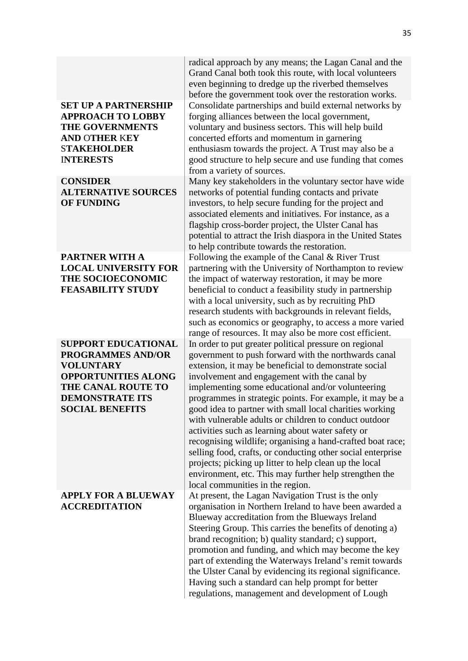#### **SET UP A PARTNERSHIP APPROACH TO LOBBY THE GOVERNMENTS AND** O**THER** K**EY**  S**TAKEHOLDER**  I**NTERESTS**

**CONSIDER ALTERNATIVE SOURCES OF FUNDING**

#### **PARTNER WITH A LOCAL UNIVERSITY FOR THE SOCIOECONOMIC FEASABILITY STUDY**

**SUPPORT EDUCATIONAL PROGRAMMES AND/OR VOLUNTARY OPPORTUNITIES ALONG THE CANAL ROUTE TO DEMONSTRATE ITS SOCIAL BENEFITS**

#### **APPLY FOR A BLUEWAY ACCREDITATION**

radical approach by any means; the Lagan Canal and the Grand Canal both took this route, with local volunteers even beginning to dredge up the riverbed themselves before the government took over the restoration works. Consolidate partnerships and build external networks by forging alliances between the local government, voluntary and business sectors. This will help build concerted efforts and momentum in garnering enthusiasm towards the project. A Trust may also be a good structure to help secure and use funding that comes from a variety of sources.

Many key stakeholders in the voluntary sector have wide networks of potential funding contacts and private investors, to help secure funding for the project and associated elements and initiatives. For instance, as a flagship cross-border project, the Ulster Canal has potential to attract the Irish diaspora in the United States to help contribute towards the restoration. Following the example of the Canal & River Trust partnering with the University of Northampton to review the impact of waterway restoration, it may be more beneficial to conduct a feasibility study in partnership with a local university, such as by recruiting PhD research students with backgrounds in relevant fields, such as economics or geography, to access a more varied range of resources. It may also be more cost efficient. In order to put greater political pressure on regional government to push forward with the northwards canal extension, it may be beneficial to demonstrate social involvement and engagement with the canal by implementing some educational and/or volunteering programmes in strategic points. For example, it may be a good idea to partner with small local charities working with vulnerable adults or children to conduct outdoor activities such as learning about water safety or recognising wildlife; organising a hand-crafted boat race; selling food, crafts, or conducting other social enterprise projects; picking up litter to help clean up the local environment, etc. This may further help strengthen the local communities in the region.

At present, the Lagan Navigation Trust is the only organisation in Northern Ireland to have been awarded a Blueway accreditation from the Blueways Ireland Steering Group. This carries the benefits of denoting a) brand recognition; b) quality standard; c) support, promotion and funding, and which may become the key part of extending the Waterways Ireland's remit towards the Ulster Canal by evidencing its regional significance. Having such a standard can help prompt for better regulations, management and development of Lough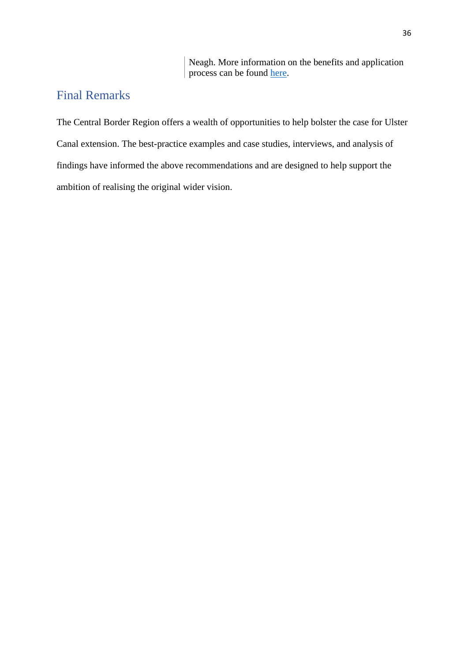Neagh. More information on the benefits and application process can be found [here.](https://www.sportireland.ie/sites/default/files/media/document/2020-08/blueway-development-and-management-guide-full-report.pdf)

# <span id="page-35-0"></span>Final Remarks

The Central Border Region offers a wealth of opportunities to help bolster the case for Ulster Canal extension. The best-practice examples and case studies, interviews, and analysis of findings have informed the above recommendations and are designed to help support the ambition of realising the original wider vision.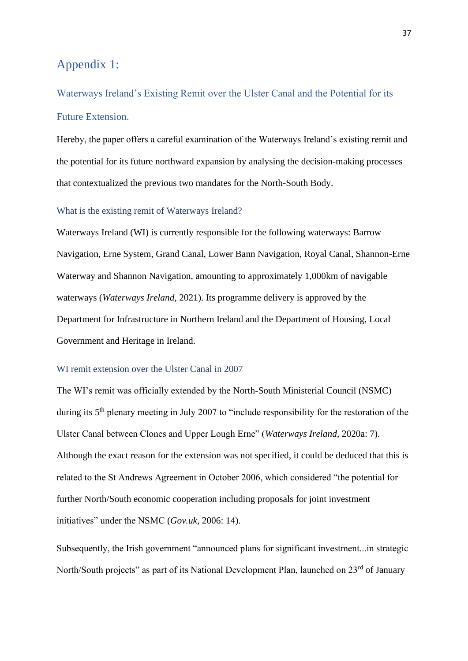# <span id="page-36-0"></span>Appendix 1:

<span id="page-36-1"></span>Waterways Ireland's Existing Remit over the Ulster Canal and the Potential for its Future Extension.

Hereby, the paper offers a careful examination of the Waterways Ireland's existing remit and the potential for its future northward expansion by analysing the decision-making processes that contextualized the previous two mandates for the North-South Body.

#### <span id="page-36-2"></span>What is the existing remit of Waterways Ireland?

Waterways Ireland (WI) is currently responsible for the following waterways: Barrow Navigation, Erne System, Grand Canal, Lower Bann Navigation, Royal Canal, Shannon-Erne Waterway and Shannon Navigation, amounting to approximately 1,000km of navigable waterways (*Waterways Ireland*, 2021). Its programme delivery is approved by the Department for Infrastructure in Northern Ireland and the Department of Housing, Local Government and Heritage in Ireland.

#### <span id="page-36-3"></span>WI remit extension over the Ulster Canal in 2007

The WI's remit was officially extended by the North-South Ministerial Council (NSMC) during its 5<sup>th</sup> plenary meeting in July 2007 to "include responsibility for the restoration of the Ulster Canal between Clones and Upper Lough Erne" (*Waterways Ireland*, 2020a: 7). Although the exact reason for the extension was not specified, it could be deduced that this is related to the St Andrews Agreement in October 2006, which considered "the potential for further North/South economic cooperation including proposals for joint investment initiatives" under the NSMC (*Gov.uk*, 2006: 14).

Subsequently, the Irish government "announced plans for significant investment...in strategic North/South projects" as part of its National Development Plan, launched on 23<sup>rd</sup> of January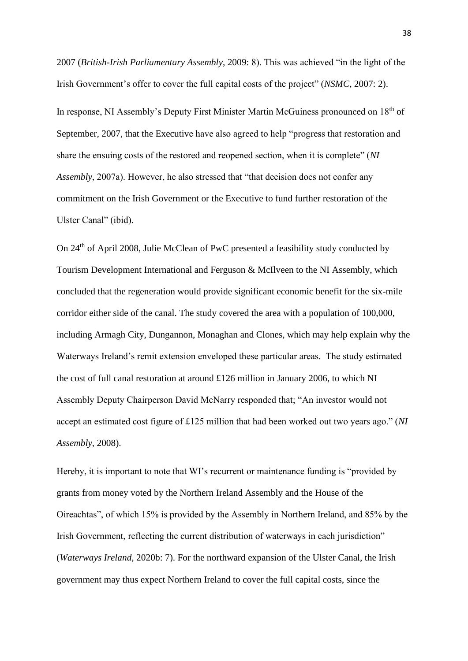2007 (*British-Irish Parliamentary Assembly*, 2009: 8). This was achieved "in the light of the Irish Government's offer to cover the full capital costs of the project" (*NSMC*, 2007: 2).

In response, NI Assembly's Deputy First Minister Martin McGuiness pronounced on 18<sup>th</sup> of September, 2007, that the Executive have also agreed to help "progress that restoration and share the ensuing costs of the restored and reopened section, when it is complete" (*NI Assembly*, 2007a). However, he also stressed that "that decision does not confer any commitment on the Irish Government or the Executive to fund further restoration of the Ulster Canal" (ibid).

On 24<sup>th</sup> of April 2008, Julie McClean of PwC presented a feasibility study conducted by Tourism Development International and Ferguson & McIlveen to the NI Assembly, which concluded that the regeneration would provide significant economic benefit for the six-mile corridor either side of the canal. The study covered the area with a population of 100,000, including Armagh City, Dungannon, Monaghan and Clones, which may help explain why the Waterways Ireland's remit extension enveloped these particular areas. The study estimated the cost of full canal restoration at around £126 million in January 2006, to which NI Assembly Deputy Chairperson David McNarry responded that; "An investor would not accept an estimated cost figure of £125 million that had been worked out two years ago." (*NI Assembly*, 2008).

Hereby, it is important to note that WI's recurrent or maintenance funding is "provided by grants from money voted by the Northern Ireland Assembly and the House of the Oireachtas", of which 15% is provided by the Assembly in Northern Ireland, and 85% by the Irish Government, reflecting the current distribution of waterways in each jurisdiction" (*Waterways Ireland*, 2020b: 7). For the northward expansion of the Ulster Canal, the Irish government may thus expect Northern Ireland to cover the full capital costs, since the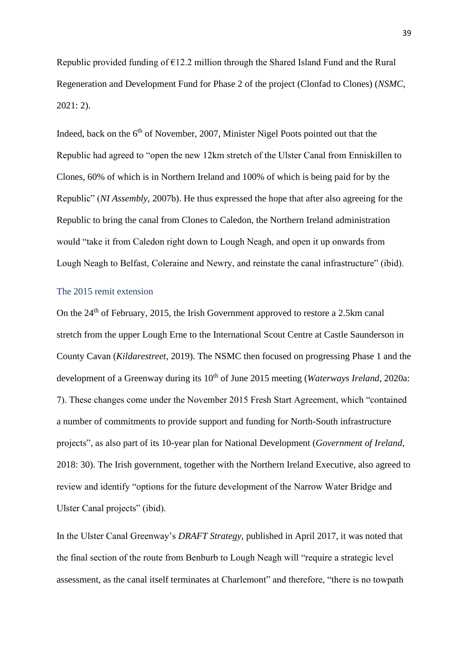Republic provided funding of  $E12.2$  million through the Shared Island Fund and the Rural Regeneration and Development Fund for Phase 2 of the project (Clonfad to Clones) (*NSMC*, 2021: 2).

Indeed, back on the  $6<sup>th</sup>$  of November, 2007, Minister Nigel Poots pointed out that the Republic had agreed to "open the new 12km stretch of the Ulster Canal from Enniskillen to Clones, 60% of which is in Northern Ireland and 100% of which is being paid for by the Republic" (*NI Assembly*, 2007b). He thus expressed the hope that after also agreeing for the Republic to bring the canal from Clones to Caledon, the Northern Ireland administration would "take it from Caledon right down to Lough Neagh, and open it up onwards from Lough Neagh to Belfast, Coleraine and Newry, and reinstate the canal infrastructure" (ibid).

#### <span id="page-38-0"></span>The 2015 remit extension

On the 24<sup>th</sup> of February, 2015, the Irish Government approved to restore a 2.5km canal stretch from the upper Lough Erne to the International Scout Centre at Castle Saunderson in County Cavan (*Kildarestreet*, 2019). The NSMC then focused on progressing Phase 1 and the development of a Greenway during its 10<sup>th</sup> of June 2015 meeting (*Waterways Ireland*, 2020a: 7). These changes come under the November 2015 Fresh Start Agreement, which "contained a number of commitments to provide support and funding for North-South infrastructure projects", as also part of its 10-year plan for National Development (*Government of Ireland*, 2018: 30). The Irish government, together with the Northern Ireland Executive, also agreed to review and identify "options for the future development of the Narrow Water Bridge and Ulster Canal projects" (ibid).

In the Ulster Canal Greenway's *DRAFT Strategy*, published in April 2017, it was noted that the final section of the route from Benburb to Lough Neagh will "require a strategic level assessment, as the canal itself terminates at Charlemont" and therefore, "there is no towpath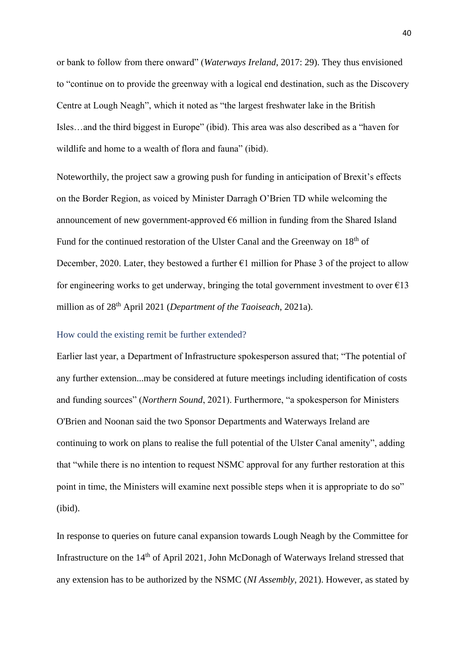or bank to follow from there onward" (*Waterways Ireland*, 2017: 29). They thus envisioned to "continue on to provide the greenway with a logical end destination, such as the Discovery Centre at Lough Neagh", which it noted as "the largest freshwater lake in the British Isles…and the third biggest in Europe" (ibid). This area was also described as a "haven for wildlife and home to a wealth of flora and fauna" (ibid).

Noteworthily, the project saw a growing push for funding in anticipation of Brexit's effects on the Border Region, as voiced by Minister Darragh O'Brien TD while welcoming the announcement of new government-approved  $\epsilon$ 6 million in funding from the Shared Island Fund for the continued restoration of the Ulster Canal and the Greenway on 18<sup>th</sup> of December, 2020. Later, they bestowed a further  $\epsilon$ 1 million for Phase 3 of the project to allow for engineering works to get underway, bringing the total government investment to over  $\epsilon$ 13 million as of 28th April 2021 (*Department of the Taoiseach*, 2021a).

#### <span id="page-39-0"></span>How could the existing remit be further extended?

Earlier last year, a Department of Infrastructure spokesperson assured that; "The potential of any further extension...may be considered at future meetings including identification of costs and funding sources" (*Northern Sound*, 2021). Furthermore, "a spokesperson for Ministers O'Brien and Noonan said the two Sponsor Departments and Waterways Ireland are continuing to work on plans to realise the full potential of the Ulster Canal amenity", adding that "while there is no intention to request NSMC approval for any further restoration at this point in time, the Ministers will examine next possible steps when it is appropriate to do so" (ibid).

In response to queries on future canal expansion towards Lough Neagh by the Committee for Infrastructure on the 14<sup>th</sup> of April 2021, John McDonagh of Waterways Ireland stressed that any extension has to be authorized by the NSMC (*NI Assembly*, 2021). However, as stated by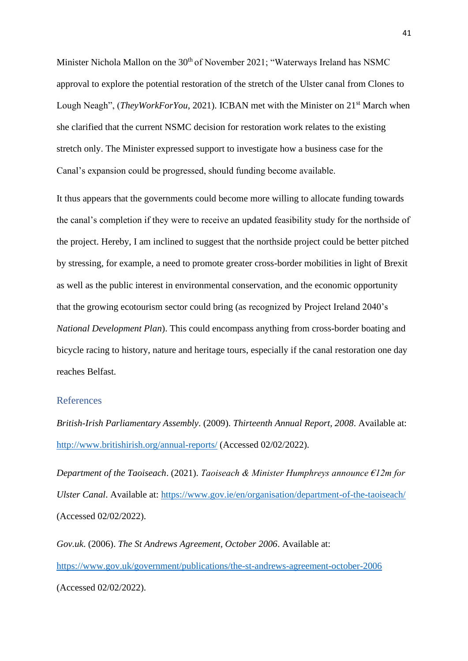Minister Nichola Mallon on the 30<sup>th</sup> of November 2021; "Waterways Ireland has NSMC approval to explore the potential restoration of the stretch of the Ulster canal from Clones to Lough Neagh", *(TheyWorkForYou*, 2021). ICBAN met with the Minister on 21<sup>st</sup> March when she clarified that the current NSMC decision for restoration work relates to the existing stretch only. The Minister expressed support to investigate how a business case for the Canal's expansion could be progressed, should funding become available.

It thus appears that the governments could become more willing to allocate funding towards the canal's completion if they were to receive an updated feasibility study for the northside of the project. Hereby, I am inclined to suggest that the northside project could be better pitched by stressing, for example, a need to promote greater cross-border mobilities in light of Brexit as well as the public interest in environmental conservation, and the economic opportunity that the growing ecotourism sector could bring (as recognized by Project Ireland 2040's *National Development Plan*). This could encompass anything from cross-border boating and bicycle racing to history, nature and heritage tours, especially if the canal restoration one day reaches Belfast.

#### <span id="page-40-0"></span>References

*British-Irish Parliamentary Assembly*. (2009). *Thirteenth Annual Report, 2008*. Available at: <http://www.britishirish.org/annual-reports/> (Accessed 02/02/2022).

*Department of the Taoiseach*. (2021). *Taoiseach & Minister Humphreys announce €12m for Ulster Canal*. Available at:<https://www.gov.ie/en/organisation/department-of-the-taoiseach/> (Accessed 02/02/2022).

*Gov.uk*. (2006). *The St Andrews Agreement, October 2006*. Available at: <https://www.gov.uk/government/publications/the-st-andrews-agreement-october-2006> (Accessed 02/02/2022).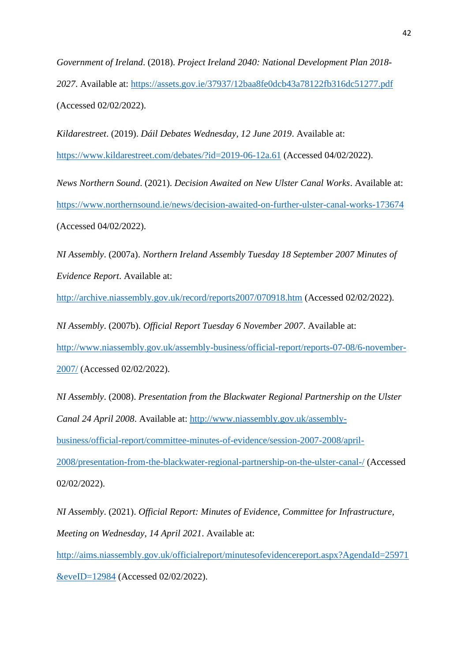*Government of Ireland*. (2018). *Project Ireland 2040: National Development Plan 2018- 2027*. Available at:<https://assets.gov.ie/37937/12baa8fe0dcb43a78122fb316dc51277.pdf> (Accessed 02/02/2022).

*Kildarestreet*. (2019). *Dáil Debates Wednesday, 12 June 2019*. Available at: <https://www.kildarestreet.com/debates/?id=2019-06-12a.61> (Accessed 04/02/2022).

*News Northern Sound*. (2021). *Decision Awaited on New Ulster Canal Works*. Available at: <https://www.northernsound.ie/news/decision-awaited-on-further-ulster-canal-works-173674> (Accessed 04/02/2022).

*NI Assembly*. (2007a). *Northern Ireland Assembly Tuesday 18 September 2007 Minutes of Evidence Report*. Available at:

<http://archive.niassembly.gov.uk/record/reports2007/070918.htm> (Accessed 02/02/2022).

*NI Assembly*. (2007b). *Official Report Tuesday 6 November 2007*. Available at: [http://www.niassembly.gov.uk/assembly-business/official-report/reports-07-08/6-november-](http://www.niassembly.gov.uk/assembly-business/official-report/reports-07-08/6-november-2007/)[2007/](http://www.niassembly.gov.uk/assembly-business/official-report/reports-07-08/6-november-2007/) (Accessed 02/02/2022).

*NI Assembly*. (2008). *Presentation from the Blackwater Regional Partnership on the Ulster Canal 24 April 2008*. Available at: [http://www.niassembly.gov.uk/assembly](http://www.niassembly.gov.uk/assembly-business/official-report/committee-minutes-of-evidence/session-2007-2008/april-2008/presentation-from-the-blackwater-regional-partnership-on-the-ulster-canal-/)[business/official-report/committee-minutes-of-evidence/session-2007-2008/april-](http://www.niassembly.gov.uk/assembly-business/official-report/committee-minutes-of-evidence/session-2007-2008/april-2008/presentation-from-the-blackwater-regional-partnership-on-the-ulster-canal-/)[2008/presentation-from-the-blackwater-regional-partnership-on-the-ulster-canal-/](http://www.niassembly.gov.uk/assembly-business/official-report/committee-minutes-of-evidence/session-2007-2008/april-2008/presentation-from-the-blackwater-regional-partnership-on-the-ulster-canal-/) (Accessed 02/02/2022).

*NI Assembly*. (2021). *Official Report: Minutes of Evidence, Committee for Infrastructure, Meeting on Wednesday, 14 April 2021*. Available at:

[http://aims.niassembly.gov.uk/officialreport/minutesofevidencereport.aspx?AgendaId=25971](http://aims.niassembly.gov.uk/officialreport/minutesofevidencereport.aspx?AgendaId=25971&eveID=12984)

[&eveID=12984](http://aims.niassembly.gov.uk/officialreport/minutesofevidencereport.aspx?AgendaId=25971&eveID=12984) (Accessed 02/02/2022).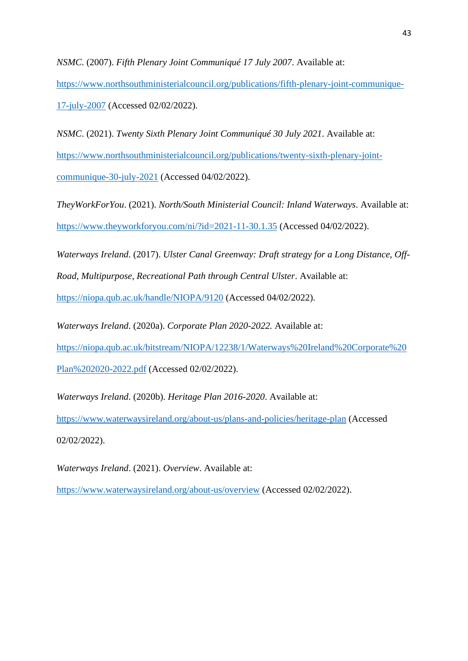*NSMC*. (2007). *Fifth Plenary Joint Communiqué 17 July 2007*. Available at:

[https://www.northsouthministerialcouncil.org/publications/fifth-plenary-joint-communique-](https://www.northsouthministerialcouncil.org/publications/fifth-plenary-joint-communique-17-july-2007)[17-july-2007](https://www.northsouthministerialcouncil.org/publications/fifth-plenary-joint-communique-17-july-2007) (Accessed 02/02/2022).

*NSMC*. (2021). *Twenty Sixth Plenary Joint Communiqué 30 July 2021*. Available at: [https://www.northsouthministerialcouncil.org/publications/twenty-sixth-plenary-joint](https://www.northsouthministerialcouncil.org/publications/twenty-sixth-plenary-joint-communique-30-july-2021)[communique-30-july-2021](https://www.northsouthministerialcouncil.org/publications/twenty-sixth-plenary-joint-communique-30-july-2021) (Accessed 04/02/2022).

*TheyWorkForYou*. (2021). *North/South Ministerial Council: Inland Waterways*. Available at: <https://www.theyworkforyou.com/ni/?id=2021-11-30.1.35> (Accessed 04/02/2022).

*Waterways Ireland*. (2017). *Ulster Canal Greenway: Draft strategy for a Long Distance, Off-*

*Road, Multipurpose, Recreational Path through Central Ulster*. Available at:

<https://niopa.qub.ac.uk/handle/NIOPA/9120> (Accessed 04/02/2022).

*Waterways Ireland*. (2020a). *Corporate Plan 2020-2022.* Available at:

[https://niopa.qub.ac.uk/bitstream/NIOPA/12238/1/Waterways%20Ireland%20Corporate%20](https://niopa.qub.ac.uk/bitstream/NIOPA/12238/1/Waterways%20Ireland%20Corporate%20Plan%202020-2022.pdf)

[Plan%202020-2022.pdf](https://niopa.qub.ac.uk/bitstream/NIOPA/12238/1/Waterways%20Ireland%20Corporate%20Plan%202020-2022.pdf) (Accessed 02/02/2022).

*Waterways Ireland*. (2020b). *Heritage Plan 2016-2020*. Available at:

<https://www.waterwaysireland.org/about-us/plans-and-policies/heritage-plan> (Accessed 02/02/2022).

*Waterways Ireland*. (2021). *Overview*. Available at:

<https://www.waterwaysireland.org/about-us/overview> (Accessed 02/02/2022).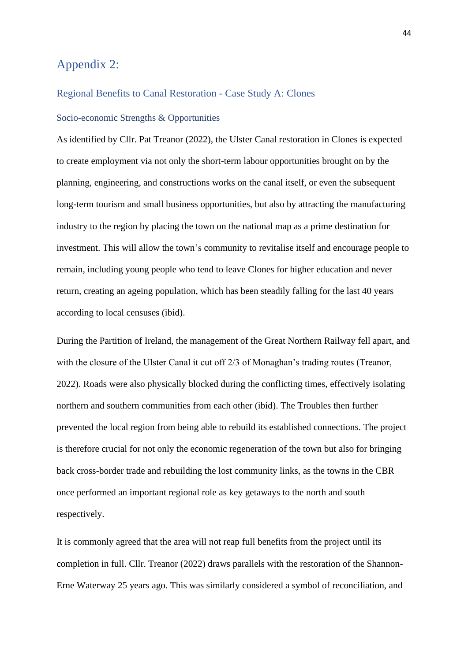# <span id="page-43-0"></span>Appendix 2:

#### <span id="page-43-1"></span>Regional Benefits to Canal Restoration - Case Study A: Clones

#### <span id="page-43-2"></span>Socio-economic Strengths & Opportunities

As identified by Cllr. Pat Treanor (2022), the Ulster Canal restoration in Clones is expected to create employment via not only the short-term labour opportunities brought on by the planning, engineering, and constructions works on the canal itself, or even the subsequent long-term tourism and small business opportunities, but also by attracting the manufacturing industry to the region by placing the town on the national map as a prime destination for investment. This will allow the town's community to revitalise itself and encourage people to remain, including young people who tend to leave Clones for higher education and never return, creating an ageing population, which has been steadily falling for the last 40 years according to local censuses (ibid).

During the Partition of Ireland, the management of the Great Northern Railway fell apart, and with the closure of the Ulster Canal it cut off 2/3 of Monaghan's trading routes (Treanor, 2022). Roads were also physically blocked during the conflicting times, effectively isolating northern and southern communities from each other (ibid). The Troubles then further prevented the local region from being able to rebuild its established connections. The project is therefore crucial for not only the economic regeneration of the town but also for bringing back cross-border trade and rebuilding the lost community links, as the towns in the CBR once performed an important regional role as key getaways to the north and south respectively.

It is commonly agreed that the area will not reap full benefits from the project until its completion in full. Cllr. Treanor (2022) draws parallels with the restoration of the Shannon-Erne Waterway 25 years ago. This was similarly considered a symbol of reconciliation, and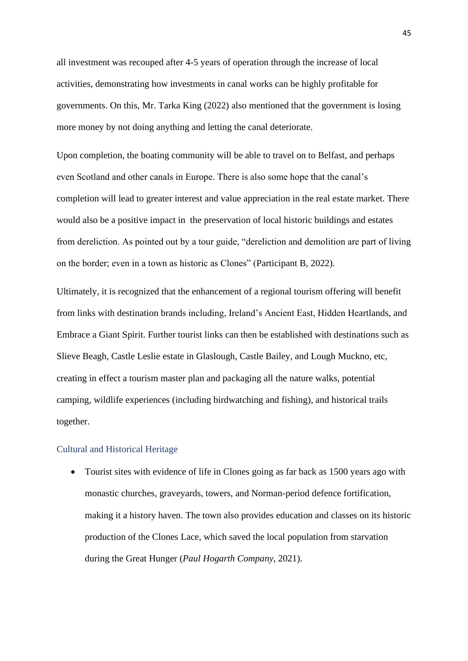all investment was recouped after 4-5 years of operation through the increase of local activities, demonstrating how investments in canal works can be highly profitable for governments. On this, Mr. Tarka King (2022) also mentioned that the government is losing more money by not doing anything and letting the canal deteriorate.

Upon completion, the boating community will be able to travel on to Belfast, and perhaps even Scotland and other canals in Europe. There is also some hope that the canal's completion will lead to greater interest and value appreciation in the real estate market. There would also be a positive impact in the preservation of local historic buildings and estates from dereliction. As pointed out by a tour guide, "dereliction and demolition are part of living on the border; even in a town as historic as Clones" (Participant B, 2022).

Ultimately, it is recognized that the enhancement of a regional tourism offering will benefit from links with destination brands including, Ireland's Ancient East, Hidden Heartlands, and Embrace a Giant Spirit. Further tourist links can then be established with destinations such as Slieve Beagh, Castle Leslie estate in Glaslough, Castle Bailey, and Lough Muckno, etc, creating in effect a tourism master plan and packaging all the nature walks, potential camping, wildlife experiences (including birdwatching and fishing), and historical trails together.

#### <span id="page-44-0"></span>Cultural and Historical Heritage

• Tourist sites with evidence of life in Clones going as far back as 1500 years ago with monastic churches, graveyards, towers, and Norman-period defence fortification, making it a history haven. The town also provides education and classes on its historic production of the Clones Lace, which saved the local population from starvation during the Great Hunger (*Paul Hogarth Company*, 2021).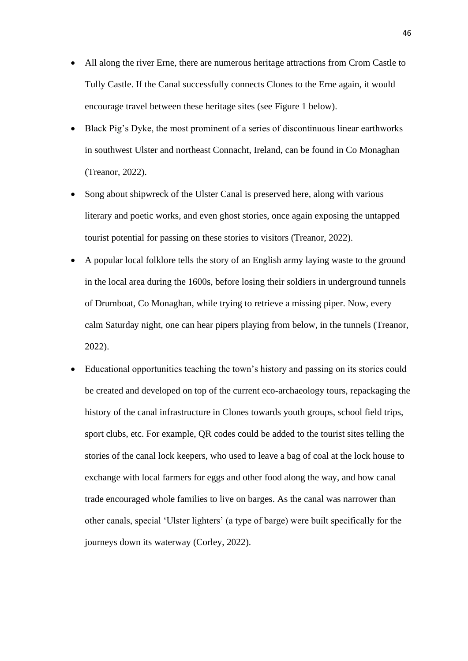- All along the river Erne, there are numerous heritage attractions from Crom Castle to Tully Castle. If the Canal successfully connects Clones to the Erne again, it would encourage travel between these heritage sites (see Figure 1 below).
- Black Pig's Dyke, the most prominent of a series of discontinuous linear earthworks in southwest Ulster and northeast Connacht, Ireland, can be found in Co Monaghan (Treanor, 2022).
- Song about shipwreck of the Ulster Canal is preserved here, along with various literary and poetic works, and even ghost stories, once again exposing the untapped tourist potential for passing on these stories to visitors (Treanor, 2022).
- A popular local folklore tells the story of an English army laying waste to the ground in the local area during the 1600s, before losing their soldiers in underground tunnels of Drumboat, Co Monaghan, while trying to retrieve a missing piper. Now, every calm Saturday night, one can hear pipers playing from below, in the tunnels (Treanor, 2022).
- Educational opportunities teaching the town's history and passing on its stories could be created and developed on top of the current eco-archaeology tours, repackaging the history of the canal infrastructure in Clones towards youth groups, school field trips, sport clubs, etc. For example, QR codes could be added to the tourist sites telling the stories of the canal lock keepers, who used to leave a bag of coal at the lock house to exchange with local farmers for eggs and other food along the way, and how canal trade encouraged whole families to live on barges. As the canal was narrower than other canals, special 'Ulster lighters' (a type of barge) were built specifically for the journeys down its waterway (Corley, 2022).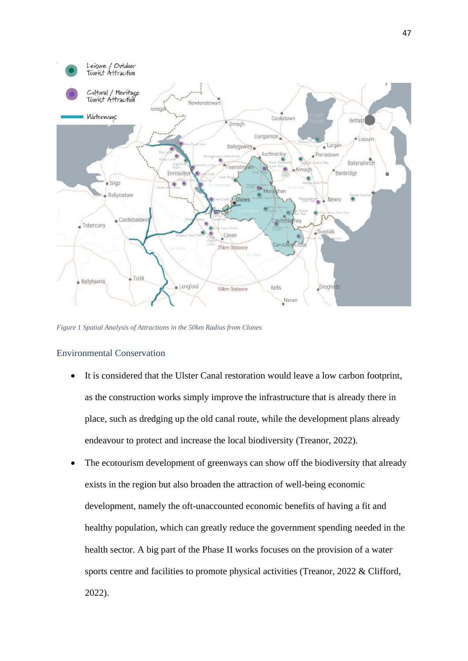

*Figure 1 Spatial Analysis of Attractions in the 50km Radius from Clones*

#### <span id="page-46-0"></span>Environmental Conservation

- It is considered that the Ulster Canal restoration would leave a low carbon footprint, as the construction works simply improve the infrastructure that is already there in place, such as dredging up the old canal route, while the development plans already endeavour to protect and increase the local biodiversity (Treanor, 2022).
- The ecotourism development of greenways can show off the biodiversity that already exists in the region but also broaden the attraction of well-being economic development, namely the oft-unaccounted economic benefits of having a fit and healthy population, which can greatly reduce the government spending needed in the health sector. A big part of the Phase II works focuses on the provision of a water sports centre and facilities to promote physical activities (Treanor, 2022 & Clifford, 2022).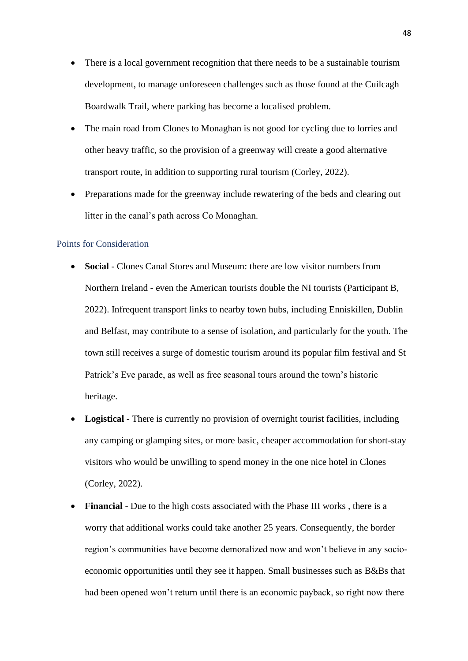- There is a local government recognition that there needs to be a sustainable tourism development, to manage unforeseen challenges such as those found at the Cuilcagh Boardwalk Trail, where parking has become a localised problem.
- The main road from Clones to Monaghan is not good for cycling due to lorries and other heavy traffic, so the provision of a greenway will create a good alternative transport route, in addition to supporting rural tourism (Corley, 2022).
- Preparations made for the greenway include rewatering of the beds and clearing out litter in the canal's path across Co Monaghan.

#### <span id="page-47-0"></span>Points for Consideration

- **Social** Clones Canal Stores and Museum: there are low visitor numbers from Northern Ireland - even the American tourists double the NI tourists (Participant B, 2022). Infrequent transport links to nearby town hubs, including Enniskillen, Dublin and Belfast, may contribute to a sense of isolation, and particularly for the youth. The town still receives a surge of domestic tourism around its popular film festival and St Patrick's Eve parade, as well as free seasonal tours around the town's historic heritage.
- **Logistical** There is currently no provision of overnight tourist facilities, including any camping or glamping sites, or more basic, cheaper accommodation for short-stay visitors who would be unwilling to spend money in the one nice hotel in Clones (Corley, 2022).
- **Financial** Due to the high costs associated with the Phase III works , there is a worry that additional works could take another 25 years. Consequently, the border region's communities have become demoralized now and won't believe in any socioeconomic opportunities until they see it happen. Small businesses such as B&Bs that had been opened won't return until there is an economic payback, so right now there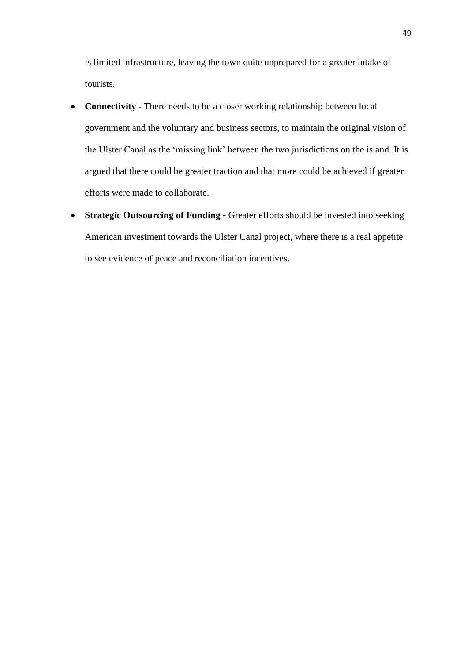is limited infrastructure, leaving the town quite unprepared for a greater intake of tourists.

- **Connectivity** There needs to be a closer working relationship between local government and the voluntary and business sectors, to maintain the original vision of the Ulster Canal as the 'missing link' between the two jurisdictions on the island. It is argued that there could be greater traction and that more could be achieved if greater efforts were made to collaborate.
- **Strategic Outsourcing of Funding** Greater efforts should be invested into seeking American investment towards the Ulster Canal project, where there is a real appetite to see evidence of peace and reconciliation incentives.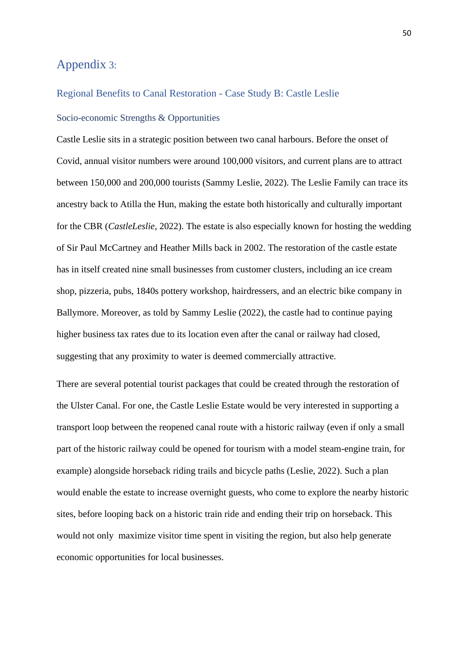# <span id="page-49-0"></span>Appendix 3:

# <span id="page-49-2"></span><span id="page-49-1"></span>Regional Benefits to Canal Restoration - Case Study B: Castle Leslie Socio-economic Strengths & Opportunities

Castle Leslie sits in a strategic position between two canal harbours. Before the onset of Covid, annual visitor numbers were around 100,000 visitors, and current plans are to attract between 150,000 and 200,000 tourists (Sammy Leslie, 2022). The Leslie Family can trace its ancestry back to Atilla the Hun, making the estate both historically and culturally important for the CBR (*CastleLeslie*, 2022). The estate is also especially known for hosting the wedding of Sir Paul McCartney and Heather Mills back in 2002. The restoration of the castle estate has in itself created nine small businesses from customer clusters, including an ice cream shop, pizzeria, pubs, 1840s pottery workshop, hairdressers, and an electric bike company in Ballymore. Moreover, as told by Sammy Leslie (2022), the castle had to continue paying higher business tax rates due to its location even after the canal or railway had closed, suggesting that any proximity to water is deemed commercially attractive.

There are several potential tourist packages that could be created through the restoration of the Ulster Canal. For one, the Castle Leslie Estate would be very interested in supporting a transport loop between the reopened canal route with a historic railway (even if only a small part of the historic railway could be opened for tourism with a model steam-engine train, for example) alongside horseback riding trails and bicycle paths (Leslie, 2022). Such a plan would enable the estate to increase overnight guests, who come to explore the nearby historic sites, before looping back on a historic train ride and ending their trip on horseback. This would not only maximize visitor time spent in visiting the region, but also help generate economic opportunities for local businesses.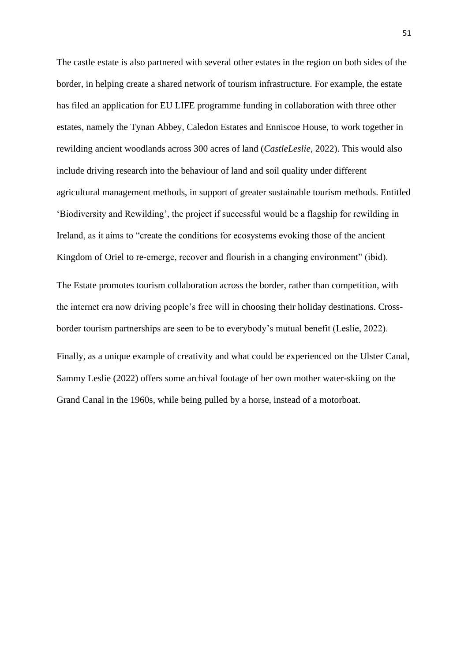The castle estate is also partnered with several other estates in the region on both sides of the border, in helping create a shared network of tourism infrastructure. For example, the estate has filed an application for EU LIFE programme funding in collaboration with three other estates, namely the Tynan Abbey, Caledon Estates and Enniscoe House, to work together in rewilding ancient woodlands across 300 acres of land (*CastleLeslie*, 2022). This would also include driving research into the behaviour of land and soil quality under different agricultural management methods, in support of greater sustainable tourism methods. Entitled 'Biodiversity and Rewilding', the project if successful would be a flagship for rewilding in Ireland, as it aims to "create the conditions for ecosystems evoking those of the ancient Kingdom of Oriel to re-emerge, recover and flourish in a changing environment" (ibid).

The Estate promotes tourism collaboration across the border, rather than competition, with the internet era now driving people's free will in choosing their holiday destinations. Crossborder tourism partnerships are seen to be to everybody's mutual benefit (Leslie, 2022).

Finally, as a unique example of creativity and what could be experienced on the Ulster Canal, Sammy Leslie (2022) offers some archival footage of her own mother water-skiing on the Grand Canal in the 1960s, while being pulled by a horse, instead of a motorboat.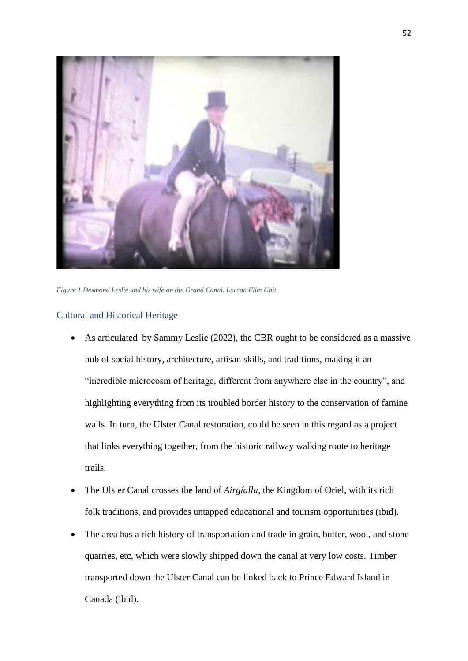

*Figure 1 Desmond Leslie and his wife on the Grand Canal, Lorcan Film Unit*

#### <span id="page-51-0"></span>Cultural and Historical Heritage

- As articulated by Sammy Leslie (2022), the CBR ought to be considered as a massive hub of social history, architecture, artisan skills, and traditions, making it an "incredible microcosm of heritage, different from anywhere else in the country", and highlighting everything from its troubled border history to the conservation of famine walls. In turn, the Ulster Canal restoration, could be seen in this regard as a project that links everything together, from the historic railway walking route to heritage trails.
- The Ulster Canal crosses the land of *Airgíalla*, the Kingdom of Oriel, with its rich folk traditions, and provides untapped educational and tourism opportunities (ibid).
- The area has a rich history of transportation and trade in grain, butter, wool, and stone quarries, etc, which were slowly shipped down the canal at very low costs. Timber transported down the Ulster Canal can be linked back to Prince Edward Island in Canada (ibid).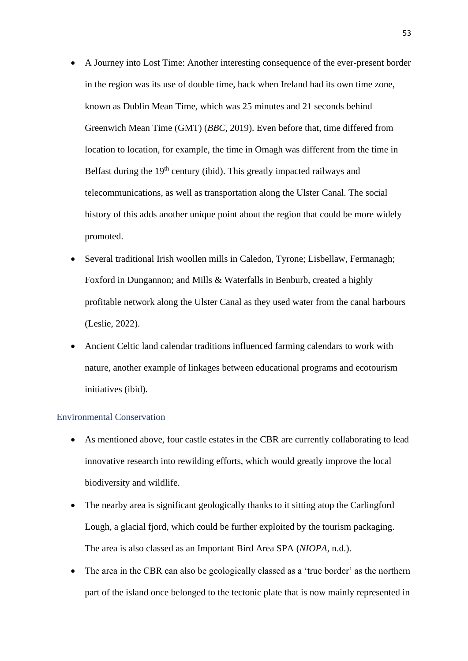- A Journey into Lost Time: Another interesting consequence of the ever-present border in the region was its use of double time, back when Ireland had its own time zone, known as Dublin Mean Time, which was 25 minutes and 21 seconds behind Greenwich Mean Time (GMT) (*BBC*, 2019). Even before that, time differed from location to location, for example, the time in Omagh was different from the time in Belfast during the  $19<sup>th</sup>$  century (ibid). This greatly impacted railways and telecommunications, as well as transportation along the Ulster Canal. The social history of this adds another unique point about the region that could be more widely promoted.
- Several traditional Irish woollen mills in Caledon, Tyrone; Lisbellaw, Fermanagh; Foxford in Dungannon; and Mills & Waterfalls in Benburb, created a highly profitable network along the Ulster Canal as they used water from the canal harbours (Leslie, 2022).
- Ancient Celtic land calendar traditions influenced farming calendars to work with nature, another example of linkages between educational programs and ecotourism initiatives (ibid).

#### <span id="page-52-0"></span>Environmental Conservation

- As mentioned above, four castle estates in the CBR are currently collaborating to lead innovative research into rewilding efforts, which would greatly improve the local biodiversity and wildlife.
- The nearby area is significant geologically thanks to it sitting atop the Carlingford Lough, a glacial fjord, which could be further exploited by the tourism packaging. The area is also classed as an Important Bird Area SPA (*NIOPA*, n.d.).
- The area in the CBR can also be geologically classed as a 'true border' as the northern part of the island once belonged to the tectonic plate that is now mainly represented in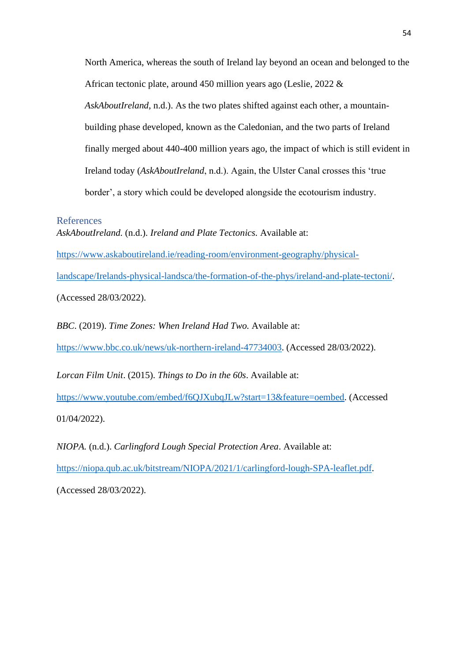North America, whereas the south of Ireland lay beyond an ocean and belonged to the African tectonic plate, around 450 million years ago (Leslie, 2022 & *AskAboutIreland*, n.d.). As the two plates shifted against each other, a mountainbuilding phase developed, known as the Caledonian, and the two parts of Ireland finally merged about 440-400 million years ago, the impact of which is still evident in Ireland today (*AskAboutIreland*, n.d.). Again, the Ulster Canal crosses this 'true border', a story which could be developed alongside the ecotourism industry.

#### <span id="page-53-0"></span>References

*AskAboutIreland.* (n.d.). *Ireland and Plate Tectonics.* Available at: [https://www.askaboutireland.ie/reading-room/environment-geography/physical](https://www.askaboutireland.ie/reading-room/environment-geography/physical-landscape/Irelands-physical-landsca/the-formation-of-the-phys/ireland-and-plate-tectoni/)[landscape/Irelands-physical-landsca/the-formation-of-the-phys/ireland-and-plate-tectoni/.](https://www.askaboutireland.ie/reading-room/environment-geography/physical-landscape/Irelands-physical-landsca/the-formation-of-the-phys/ireland-and-plate-tectoni/) (Accessed 28/03/2022).

*BBC*. (2019). *Time Zones: When Ireland Had Two.* Available at:

[https://www.bbc.co.uk/news/uk-northern-ireland-47734003.](https://www.bbc.co.uk/news/uk-northern-ireland-47734003) (Accessed 28/03/2022).

*Lorcan Film Unit*. (2015). *Things to Do in the 60s*. Available at:

[https://www.youtube.com/embed/f6QJXubqJLw?start=13&feature=oembed.](https://www.youtube.com/embed/f6QJXubqJLw?start=13&feature=oembed) (Accessed 01/04/2022).

*NIOPA.* (n.d.). *Carlingford Lough Special Protection Area*. Available at:

[https://niopa.qub.ac.uk/bitstream/NIOPA/2021/1/carlingford-lough-SPA-leaflet.pdf.](https://niopa.qub.ac.uk/bitstream/NIOPA/2021/1/carlingford-lough-SPA-leaflet.pdf)

(Accessed 28/03/2022).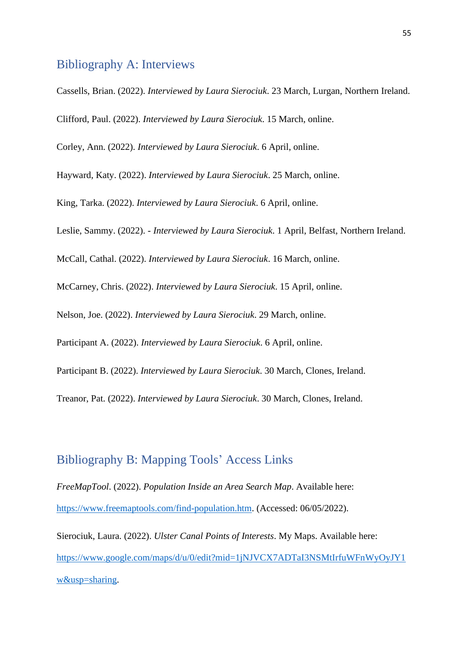# <span id="page-54-0"></span>Bibliography A: Interviews

Cassells, Brian. (2022). *Interviewed by Laura Sierociuk*. 23 March, Lurgan, Northern Ireland.

Clifford, Paul. (2022). *Interviewed by Laura Sierociuk*. 15 March, online.

Corley, Ann. (2022). *Interviewed by Laura Sierociuk*. 6 April, online.

Hayward, Katy. (2022). *Interviewed by Laura Sierociuk*. 25 March, online.

King, Tarka. (2022). *Interviewed by Laura Sierociuk*. 6 April, online.

Leslie, Sammy. (2022). - *Interviewed by Laura Sierociuk*. 1 April, Belfast, Northern Ireland.

McCall, Cathal. (2022). *Interviewed by Laura Sierociuk*. 16 March, online.

McCarney, Chris. (2022). *Interviewed by Laura Sierociuk*. 15 April, online.

Nelson, Joe. (2022). *Interviewed by Laura Sierociuk*. 29 March, online.

Participant A. (2022). *Interviewed by Laura Sierociuk*. 6 April, online.

Participant B. (2022). *Interviewed by Laura Sierociuk*. 30 March, Clones, Ireland.

Treanor, Pat. (2022). *Interviewed by Laura Sierociuk*. 30 March, Clones, Ireland.

# <span id="page-54-1"></span>Bibliography B: Mapping Tools' Access Links

*FreeMapTool*. (2022). *Population Inside an Area Search Map*. Available here: [https://www.freemaptools.com/find-population.htm.](https://www.freemaptools.com/find-population.htm) (Accessed: 06/05/2022).

Sierociuk, Laura. (2022). *Ulster Canal Points of Interests*. My Maps. Available here: [https://www.google.com/maps/d/u/0/edit?mid=1jNJVCX7ADTaI3NSMtIrfuWFnWyOyJY1](https://www.google.com/maps/d/u/0/edit?mid=1jNJVCX7ADTaI3NSMtIrfuWFnWyOyJY1w&usp=sharing) [w&usp=sharing.](https://www.google.com/maps/d/u/0/edit?mid=1jNJVCX7ADTaI3NSMtIrfuWFnWyOyJY1w&usp=sharing)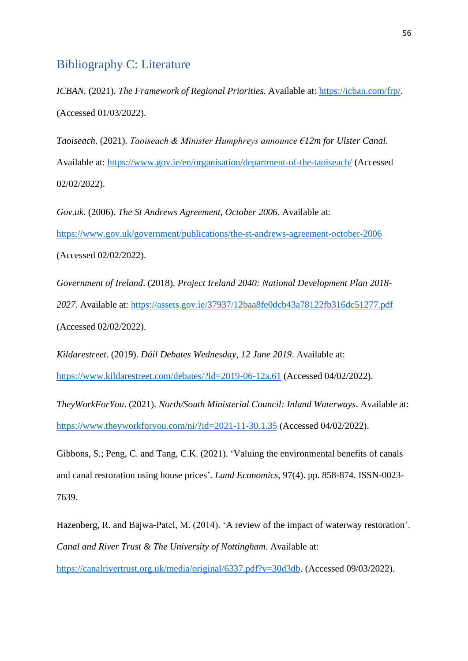# <span id="page-55-0"></span>Bibliography C: Literature

*ICBAN.* (2021). *The Framework of Regional Priorities*. Available at: [https://icban.com/frp/.](https://icban.com/frp/) (Accessed 01/03/2022).

*Taoiseach*. (2021). *Taoiseach & Minister Humphreys announce €12m for Ulster Canal*. Available at:<https://www.gov.ie/en/organisation/department-of-the-taoiseach/> (Accessed 02/02/2022).

*Gov.uk*. (2006). *The St Andrews Agreement, October 2006*. Available at: <https://www.gov.uk/government/publications/the-st-andrews-agreement-october-2006> (Accessed 02/02/2022).

*Government of Ireland*. (2018). *Project Ireland 2040: National Development Plan 2018- 2027*. Available at:<https://assets.gov.ie/37937/12baa8fe0dcb43a78122fb316dc51277.pdf> (Accessed 02/02/2022).

*Kildarestreet*. (2019). *Dáil Debates Wednesday, 12 June 2019*. Available at: <https://www.kildarestreet.com/debates/?id=2019-06-12a.61> (Accessed 04/02/2022).

*TheyWorkForYou*. (2021). *North/South Ministerial Council: Inland Waterways*. Available at: <https://www.theyworkforyou.com/ni/?id=2021-11-30.1.35> (Accessed 04/02/2022).

Gibbons, S.; Peng, C. and Tang, C.K. (2021). 'Valuing the environmental benefits of canals and canal restoration using house prices'*. Land Economics*, 97(4). pp. 858-874. ISSN-0023- 7639.

Hazenberg, R. and Bajwa-Patel, M. (2014). 'A review of the impact of waterway restoration'. *Canal and River Trust & The University of Nottingham*. Available at:

[https://canalrivertrust.org.uk/media/original/6337.pdf?v=30d3db.](https://canalrivertrust.org.uk/media/original/6337.pdf?v=30d3db) (Accessed 09/03/2022).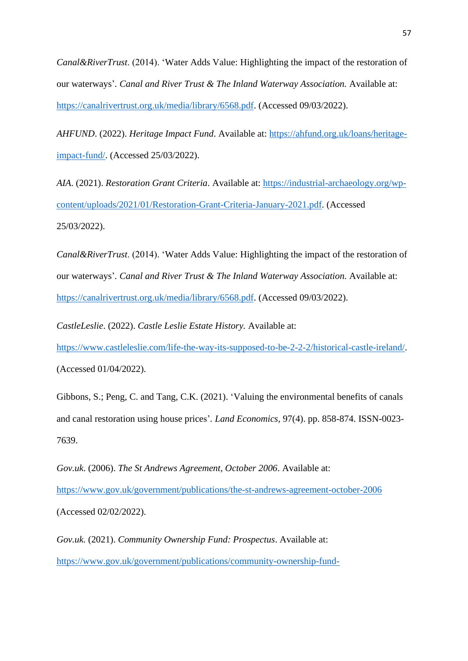*Canal&RiverTrust*. (2014). 'Water Adds Value: Highlighting the impact of the restoration of our waterways'*. Canal and River Trust & The Inland Waterway Association.* Available at: [https://canalrivertrust.org.uk/media/library/6568.pdf.](https://canalrivertrust.org.uk/media/library/6568.pdf) (Accessed 09/03/2022).

*AHFUND*. (2022). *Heritage Impact Fund*. Available at: [https://ahfund.org.uk/loans/heritage](https://ahfund.org.uk/loans/heritage-impact-fund/)[impact-fund/.](https://ahfund.org.uk/loans/heritage-impact-fund/) (Accessed 25/03/2022).

*AIA*. (2021). *Restoration Grant Criteria*. Available at: [https://industrial-archaeology.org/wp](https://industrial-archaeology.org/wp-content/uploads/2021/01/Restoration-Grant-Criteria-January-2021.pdf)[content/uploads/2021/01/Restoration-Grant-Criteria-January-2021.pdf.](https://industrial-archaeology.org/wp-content/uploads/2021/01/Restoration-Grant-Criteria-January-2021.pdf) (Accessed 25/03/2022).

*Canal&RiverTrust*. (2014). 'Water Adds Value: Highlighting the impact of the restoration of our waterways'*. Canal and River Trust & The Inland Waterway Association.* Available at: [https://canalrivertrust.org.uk/media/library/6568.pdf.](https://canalrivertrust.org.uk/media/library/6568.pdf) (Accessed 09/03/2022).

*CastleLeslie*. (2022). *Castle Leslie Estate History.* Available at:

[https://www.castleleslie.com/life-the-way-its-supposed-to-be-2-2-2/historical-castle-ireland/.](https://www.castleleslie.com/life-the-way-its-supposed-to-be-2-2-2/historical-castle-ireland/) (Accessed 01/04/2022).

Gibbons, S.; Peng, C. and Tang, C.K. (2021). 'Valuing the environmental benefits of canals and canal restoration using house prices'*. Land Economics*, 97(4). pp. 858-874. ISSN-0023- 7639.

*Gov.uk*. (2006). *The St Andrews Agreement, October 2006*. Available at: <https://www.gov.uk/government/publications/the-st-andrews-agreement-october-2006> (Accessed 02/02/2022).

*Gov.uk.* (2021). *Community Ownership Fund: Prospectus*. Available at: [https://www.gov.uk/government/publications/community-ownership-fund-](https://www.gov.uk/government/publications/community-ownership-fund-prospectus/community-ownership-fund-prospectus#funding-and-support)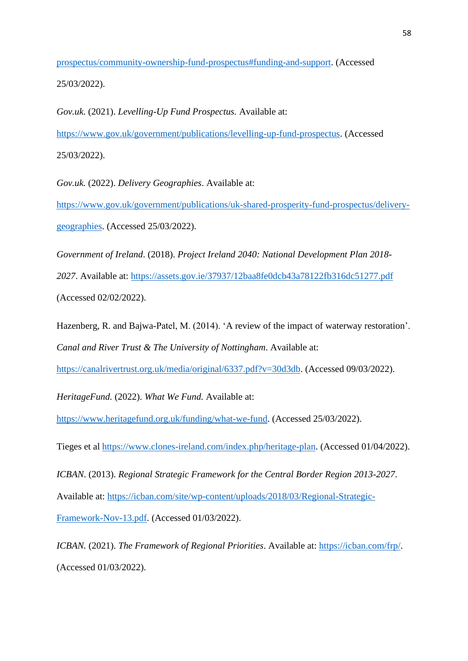[prospectus/community-ownership-fund-prospectus#funding-and-support.](https://www.gov.uk/government/publications/community-ownership-fund-prospectus/community-ownership-fund-prospectus#funding-and-support) (Accessed 25/03/2022).

*Gov.uk.* (2021). *Levelling-Up Fund Prospectus.* Available at: [https://www.gov.uk/government/publications/levelling-up-fund-prospectus.](https://www.gov.uk/government/publications/levelling-up-fund-prospectus) (Accessed 25/03/2022).

*Gov.uk.* (2022). *Delivery Geographies*. Available at:

[https://www.gov.uk/government/publications/uk-shared-prosperity-fund-prospectus/delivery](https://www.gov.uk/government/publications/uk-shared-prosperity-fund-prospectus/delivery-geographies)[geographies.](https://www.gov.uk/government/publications/uk-shared-prosperity-fund-prospectus/delivery-geographies) (Accessed 25/03/2022).

*Government of Ireland*. (2018). *Project Ireland 2040: National Development Plan 2018- 2027*. Available at:<https://assets.gov.ie/37937/12baa8fe0dcb43a78122fb316dc51277.pdf> (Accessed 02/02/2022).

Hazenberg, R. and Bajwa-Patel, M. (2014). 'A review of the impact of waterway restoration'. *Canal and River Trust & The University of Nottingham*. Available at:

[https://canalrivertrust.org.uk/media/original/6337.pdf?v=30d3db.](https://canalrivertrust.org.uk/media/original/6337.pdf?v=30d3db) (Accessed 09/03/2022).

*HeritageFund.* (2022). *What We Fund.* Available at:

[https://www.heritagefund.org.uk/funding/what-we-fund.](https://www.heritagefund.org.uk/funding/what-we-fund) (Accessed 25/03/2022).

Tieges et al [https://www.clones-ireland.com/index.php/heritage-plan.](https://www.clones-ireland.com/index.php/heritage-plan) (Accessed 01/04/2022).

*ICBAN*. (2013). *Regional Strategic Framework for the Central Border Region 2013-2027*. Available at: [https://icban.com/site/wp-content/uploads/2018/03/Regional-Strategic-](https://icban.com/site/wp-content/uploads/2018/03/Regional-Strategic-Framework-Nov-13.pdf)[Framework-Nov-13.pdf.](https://icban.com/site/wp-content/uploads/2018/03/Regional-Strategic-Framework-Nov-13.pdf) (Accessed 01/03/2022).

*ICBAN.* (2021). *The Framework of Regional Priorities*. Available at: [https://icban.com/frp/.](https://icban.com/frp/) (Accessed 01/03/2022).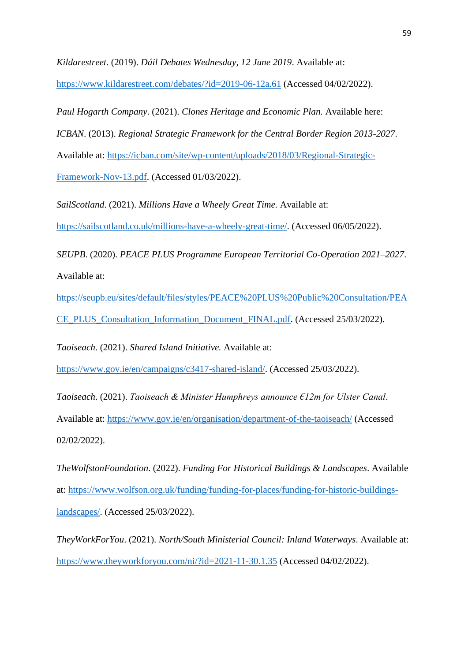*Kildarestreet*. (2019). *Dáil Debates Wednesday, 12 June 2019*. Available at:

<https://www.kildarestreet.com/debates/?id=2019-06-12a.61> (Accessed 04/02/2022).

*Paul Hogarth Company*. (2021). *Clones Heritage and Economic Plan.* Available here:

*ICBAN*. (2013). *Regional Strategic Framework for the Central Border Region 2013-2027*.

Available at: [https://icban.com/site/wp-content/uploads/2018/03/Regional-Strategic-](https://icban.com/site/wp-content/uploads/2018/03/Regional-Strategic-Framework-Nov-13.pdf)

[Framework-Nov-13.pdf.](https://icban.com/site/wp-content/uploads/2018/03/Regional-Strategic-Framework-Nov-13.pdf) (Accessed 01/03/2022).

*SailScotland*. (2021). *Millions Have a Wheely Great Time.* Available at:

[https://sailscotland.co.uk/millions-have-a-wheely-great-time/.](https://sailscotland.co.uk/millions-have-a-wheely-great-time/) (Accessed 06/05/2022).

*SEUPB*. (2020). *PEACE PLUS Programme European Territorial Co-Operation 2021–2027*. Available at:

[https://seupb.eu/sites/default/files/styles/PEACE%20PLUS%20Public%20Consultation/PEA](https://seupb.eu/sites/default/files/styles/PEACE%20PLUS%20Public%20Consultation/PEACE_PLUS_Consultation_Information_Document_FINAL.pdf) [CE\\_PLUS\\_Consultation\\_Information\\_Document\\_FINAL.pdf.](https://seupb.eu/sites/default/files/styles/PEACE%20PLUS%20Public%20Consultation/PEACE_PLUS_Consultation_Information_Document_FINAL.pdf) (Accessed 25/03/2022).

*Taoiseach*. (2021). *Shared Island Initiative.* Available at:

[https://www.gov.ie/en/campaigns/c3417-shared-island/.](https://www.gov.ie/en/campaigns/c3417-shared-island/) (Accessed 25/03/2022).

*Taoiseach*. (2021). *Taoiseach & Minister Humphreys announce €12m for Ulster Canal*. Available at:<https://www.gov.ie/en/organisation/department-of-the-taoiseach/> (Accessed 02/02/2022).

*TheWolfstonFoundation*. (2022). *Funding For Historical Buildings & Landscapes*. Available at: [https://www.wolfson.org.uk/funding/funding-for-places/funding-for-historic-buildings](https://www.wolfson.org.uk/funding/funding-for-places/funding-for-historic-buildings-landscapes/)[landscapes/.](https://www.wolfson.org.uk/funding/funding-for-places/funding-for-historic-buildings-landscapes/) (Accessed 25/03/2022).

*TheyWorkForYou*. (2021). *North/South Ministerial Council: Inland Waterways*. Available at: <https://www.theyworkforyou.com/ni/?id=2021-11-30.1.35> (Accessed 04/02/2022).